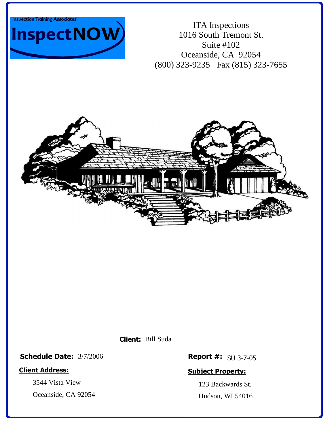



ITA Inspections 1016 South Tremont St. Suite #102 Oceanside, CA 92054 (800) 323-9235 Fax (815) 323-7655



Bill Suda **Client:**

**Schedule Date:** 3/7/2006

#### **Client Address:**

3544 Vista View

Oceanside, CA 92054

**Report #:** SU 3-7-05

### **Subject Property:**

123 Backwards St. Hudson, WI 54016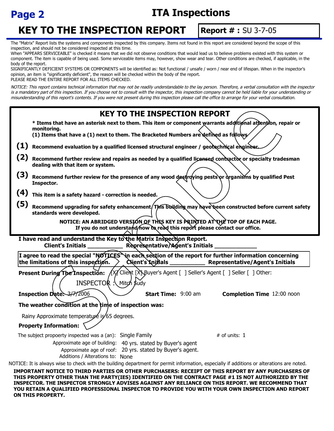

# **Page 2 ITA Inspections**

# **KEY TO THE INSPECTION REPORT**

# **Report # :** SU 3-7-05

The "Matrix" Report lists the systems and components inspected by this company. Items not found in this report are considered beyond the scope of this inspection, and should not be considered inspected at this time.

When "APPEARS SERVICEABLE" is checked it means that we did not observe conditions that would lead us to believe problems existed with this system or component. The item is capable of being used. Some serviceable items may, however, show wear and tear. Other conditions are checked, if applicable, in the body of the report.

SIGNIFICANTLY DEFICIENT SYSTEMS OR COMPONENTS will be identified as: Not functional / unsafe / worn / near end of lifespan. When in the inspector's opinion, an item is "significantly deficient", the reason will be checked within the body of the report. PLEASE READ THE ENTIRE REPORT FOR ALL ITEMS CHECKED.

NOTICE: This report contains technical information that may not be readily understandable to the lay person. Therefore, a verbal consultation with the inspector is a mandatory part of this inspection. If you choose not to consult with the inspector, this inspection company cannot be held liable for your understanding or misunderstanding of this report's contents. If you were not present during this inspection please call the office to arrange for your verbal consultation.

| <b>KEY TO THE INSPECTION REPORT</b>                                                                                                                                                                                      |
|--------------------------------------------------------------------------------------------------------------------------------------------------------------------------------------------------------------------------|
| * Items that have an asterisk next to them. This item or component warrants additional attention, repair or<br>monitorina.<br>(1) Items that have a (1) next to them. The Bracketed Numbers are defined as follows∕      |
| (1)<br>Recommend evaluation by a qualified licensed structural engineer / geotechnical engineer.                                                                                                                         |
| (2)<br>Recommend further review and repairs as needed by a qualified licensed contractor or specialty tradesman<br>dealing with that item or system.                                                                     |
| (3)<br>Recommend further review for the presence of any wood destroying pests or arganisms by qualified Pest<br>Inspector.                                                                                               |
| (4)<br>This item is a safety hazard - correction is needed.                                                                                                                                                              |
| (5)<br>Recommend upgrading for safety enhancement/This building may have been constructed before current safety<br>standards were developed.                                                                             |
| NOTICE: AN ABRIDGED VERSION OF THIS KEY IS PRINTED AT THE TOP OF EACH PAGE.<br>If you do not understand/how to read this report please contact our office.                                                               |
| I have read and understand the Key to the Matrix Inspection Report.<br>Representative/Agent's Initials<br><b>Client's Initials</b>                                                                                       |
| I agree to read the special "NOTICES" in each section of the report for further information concerning<br>the limitations of this inspection.<br>Chient's Initials ___________<br><b>Representative/Agent's Initials</b> |
| Present During The Inspection: (X) Client [X] Buyer's Agent [ ] Seller's Agent [ ] Seller [ ] Other:<br>INSPECTOR : Mitch Sudy                                                                                           |
| Inspection Date: 3/7/2006<br><b>Start Time: 9:00 am</b><br><b>Completion Time</b> 12:00 noon                                                                                                                             |
| The weather condition at the time of inspection was:                                                                                                                                                                     |
| Rainy Approximate temperature is 65 degrees.                                                                                                                                                                             |
| <b>Property Information:</b>                                                                                                                                                                                             |
| The subject propoerty inspected was a (an): Single Family<br># of units: $1$                                                                                                                                             |
| Approximate age of building: 40 yrs. stated by Buyer's agent<br>Approximate age of roof: 20 yrs. stated by Buyer's agent.<br>Additions / Alterations to: None                                                            |
| NOTICE: It is always wise to check with the building department for permit information, especially if additions or alterations are noted.                                                                                |
| IMPORTANT NOTICE TO THIRD PARTIES OR OTHER PURCHASERS: RECEIPT OF THIS REPORT BY ANY PURCHASERS OF<br>THIS PROPERTY OTHER THAN THE PARTY(IES) IDENTIFIED ON THE CONTRACT PAGE #1 IS NOT AUTHORIZED BY THE                |

**INSPECTOR. THE INSPECTOR STRONGLY ADVISES AGAINST ANY RELIANCE ON THIS REPORT. WE RECOMMEND THAT YOU RETAIN A QUALIFIED PROFESSIONAL INSPECTOR TO PROVIDE YOU WITH YOUR OWN INSPECTION AND REPORT ON THIS PROPERTY.**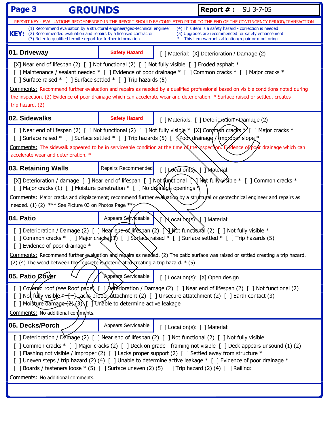| Page 3<br><b>GROUNDS</b>                                                                                                                                                                                                                                                                                                                                                                                                                                                                                                                                                                              |                                                                                                                                                                                                                                                                                                                                                                                                        | <b>Report #: SU 3-7-05</b>     |                                                   |  |
|-------------------------------------------------------------------------------------------------------------------------------------------------------------------------------------------------------------------------------------------------------------------------------------------------------------------------------------------------------------------------------------------------------------------------------------------------------------------------------------------------------------------------------------------------------------------------------------------------------|--------------------------------------------------------------------------------------------------------------------------------------------------------------------------------------------------------------------------------------------------------------------------------------------------------------------------------------------------------------------------------------------------------|--------------------------------|---------------------------------------------------|--|
| REPORT KEY - EVALUATIONS RECOMMENDED IN THE REPORT SHOULD BE COMPLETED PRIOR TO THE END OF THE CONTINGENCY PERIOD/TRANSACTION<br>(4) This item is a safety hazard - correction is needed<br>(1) Recommend evaluation by a structural engineer/geo-technical engineer<br><b>KEY:</b><br>(2) Recommended evaluation and repairs by a licensed contractor<br>(5) Upgrades are recommended for safety enhancement                                                                                                                                                                                         |                                                                                                                                                                                                                                                                                                                                                                                                        |                                |                                                   |  |
| (3) Refer to qualified termite report for further information                                                                                                                                                                                                                                                                                                                                                                                                                                                                                                                                         |                                                                                                                                                                                                                                                                                                                                                                                                        |                                | This item warrants attention/repair or monitoring |  |
| 01. Driveway                                                                                                                                                                                                                                                                                                                                                                                                                                                                                                                                                                                          | <b>Safety Hazard</b>                                                                                                                                                                                                                                                                                                                                                                                   |                                | [ ] Material: [X] Deterioration / Damage (2)      |  |
| [X] Near end of lifespan (2) [ ] Not functional (2) [ ] Not fully visible [ ] Eroded asphalt *<br>[ ] Maintenance / sealant needed * [ ] Evidence of poor drainage * [ ] Common cracks * [ ] Major cracks *<br>[ ] Surface raised * [ ] Surface settled * [ ] Trip hazards (5)<br>Comments: Recommend further evaluation and repairs as needed by a qualified professional based on visible conditions noted during<br>the inspection. (2) Evidence of poor drainage which can accelerate wear and deterioration. * Surface raised or settled, creates<br>trip hazard. (2)                            |                                                                                                                                                                                                                                                                                                                                                                                                        |                                |                                                   |  |
| 02. Sidewalks                                                                                                                                                                                                                                                                                                                                                                                                                                                                                                                                                                                         | <b>Safety Hazard</b>                                                                                                                                                                                                                                                                                                                                                                                   |                                | [ ] Materials: [ ] Deterioration A Qamage (2)     |  |
| [] Near end of lifespan (2) [] Not functional (2) [] Not fully visible * [X] Common cracks $\mathcal{V}$ [] Major cracks *<br>[ ] Surface raised * [ ] Surface settled * [ ] Trip hazards (5) [ $\pi$ Pod drainage / $\pi$ ppod slope *<br>Comments: The sidewalk appeared to be in serviceable condition at the time of the inspection. Exidence of poor drainage which can<br>accelerate wear and deterioration. *                                                                                                                                                                                  |                                                                                                                                                                                                                                                                                                                                                                                                        |                                |                                                   |  |
| 03. Retaining Walls                                                                                                                                                                                                                                                                                                                                                                                                                                                                                                                                                                                   | Repairs Recommended                                                                                                                                                                                                                                                                                                                                                                                    | [ ] Location(s) [ ] Material:  |                                                   |  |
|                                                                                                                                                                                                                                                                                                                                                                                                                                                                                                                                                                                                       | [X] Deterioration / damage [ ] Near end of lifespan [ ] Not functional $\bigcup$ Not full wisible * [ ] Common cracks *<br>[ ] Major cracks (1) [ ] Moisture penetration $*$ [ ] No drain alget openings $*$<br>Comments: Major cracks and displacement; recommend further evalvation by a stryctural or geotechnical engineer and repairs as<br>needed. (1) (2) *** See Picture 03 on Photos Page *** |                                |                                                   |  |
| 04. Patio                                                                                                                                                                                                                                                                                                                                                                                                                                                                                                                                                                                             | Appears Serviceable                                                                                                                                                                                                                                                                                                                                                                                    | Nocation(s)   Material:        |                                                   |  |
| [ ] Deterioration / Damage (2) [ ] Near end of lifespan (2) $\bigcup_{k}$ Not functional (2) [ ] Not fully visible *<br>[ ] Common cracks * [ ] Major cracks $(1)$ [ ] Stxtace raised * [ ] Surface settled * [ ] Trip hazards (5)<br>[ ] Evidence of poor drainage *<br>Comments: Recommend further evaluation and repairs as needed. (2) The patio surface was raised or settled creating a trip hazard.<br>(2) (4) The wood between the concrete is deteriorated creating a trip hazard. * (5)                                                                                                     |                                                                                                                                                                                                                                                                                                                                                                                                        |                                |                                                   |  |
| 05. Patio Cover                                                                                                                                                                                                                                                                                                                                                                                                                                                                                                                                                                                       | <b>Appears Serviceable</b>                                                                                                                                                                                                                                                                                                                                                                             |                                | [ ] Location(s): [X] Open design                  |  |
| [ ] Covered roof (see Roof page) [ ] beterioration / Damage (2) [ ] Near end of lifespan (2) [ ] Not functional (2)<br>[ ] Not fully visible *- [-J Lacks proper ditachment (2) [ ] Unsecure attatchment (2) [ ] Earth contact (3)<br>[ ] Moisture damage $(2)(3)$ [ ] Unable to determine active leakage<br>Comments: No additional comments.                                                                                                                                                                                                                                                        |                                                                                                                                                                                                                                                                                                                                                                                                        |                                |                                                   |  |
| 06. Decks/Porch                                                                                                                                                                                                                                                                                                                                                                                                                                                                                                                                                                                       | Appears Serviceable                                                                                                                                                                                                                                                                                                                                                                                    | [ ] Location(s): [ ] Material: |                                                   |  |
| [ ] Deterioration / Damage (2) [ ] Near end of lifespan (2) [ ] Not functional (2) [ ] Not fully visible<br>[ ] Common cracks * [ ] Major cracks (2) [ ] Deck on grade - framing not visible [ ] Deck appears unsound (1) (2)<br>[ ] Flashing not visible / improper (2) [ ] Lacks proper support (2) [ ] Settled away from structure *<br>[ ] Uneven steps / trip hazard (2) (4) [ ] Unable to determine active leakage * [ ] Evidence of poor drainage *<br>[ ] Boards / fasteners loose * (5) [ ] Surface uneven (2) (5) [ ] Trip hazard (2) (4) [ ] Railing:<br>Comments: No additional comments. |                                                                                                                                                                                                                                                                                                                                                                                                        |                                |                                                   |  |
|                                                                                                                                                                                                                                                                                                                                                                                                                                                                                                                                                                                                       |                                                                                                                                                                                                                                                                                                                                                                                                        |                                |                                                   |  |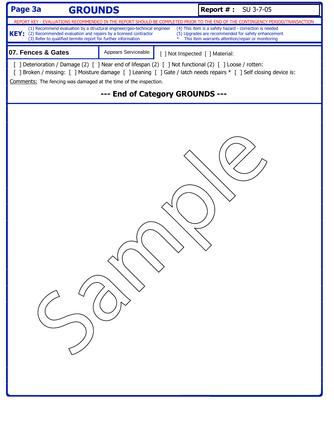| Page 3a<br><b>GROUNDS</b>                                                                                                                                                                                                    |                                 |                                 | <b>Report #: SU 3-7-05</b>                        |                                                         |
|------------------------------------------------------------------------------------------------------------------------------------------------------------------------------------------------------------------------------|---------------------------------|---------------------------------|---------------------------------------------------|---------------------------------------------------------|
| REPORT KEY - EVALUATIONS RECOMMENDED IN THE REPORT SHOULD BE COMPLETED PRIOR TO THE END OF THE CONTINGENCY PERIOD/TRANSACTION<br>(1) Recommend evaluation by a structural engineer/geo-technical engineer                    |                                 |                                 |                                                   | (4) This item is a safety hazard - correction is needed |
| KEY: (2) Recommended evaluation and repairs by a licensed contractor<br>(3) Refer to qualified termite report for further information                                                                                        |                                 | $\ast$                          | This item warrants attention/repair or monitoring | (5) Upgrades are recommended for safety enhancement     |
| 07. Fences & Gates                                                                                                                                                                                                           | Appears Serviceable             | [ ] Not Inspected [ ] Material: |                                                   |                                                         |
| [ ] Deterioration / Damage (2) [ ] Near end of lifespan (2) [ ] Not functional (2) [ ] Loose / rotten:<br>[ ] Broken / missing: [ ] Moisture damage [ ] Leaning [ ] Gate / latch needs repairs * [ ] Self closing device is: |                                 |                                 |                                                   |                                                         |
| Comments: The fencing was damaged at the time of the inspection.                                                                                                                                                             |                                 |                                 |                                                   |                                                         |
|                                                                                                                                                                                                                              | --- End of Category GROUNDS --- |                                 |                                                   |                                                         |
|                                                                                                                                                                                                                              |                                 |                                 |                                                   |                                                         |
|                                                                                                                                                                                                                              |                                 |                                 |                                                   |                                                         |
|                                                                                                                                                                                                                              |                                 |                                 |                                                   |                                                         |
|                                                                                                                                                                                                                              |                                 |                                 |                                                   |                                                         |
|                                                                                                                                                                                                                              |                                 |                                 |                                                   |                                                         |
|                                                                                                                                                                                                                              |                                 |                                 |                                                   |                                                         |
|                                                                                                                                                                                                                              |                                 |                                 |                                                   |                                                         |
|                                                                                                                                                                                                                              |                                 |                                 |                                                   |                                                         |
|                                                                                                                                                                                                                              |                                 |                                 |                                                   |                                                         |
|                                                                                                                                                                                                                              |                                 |                                 |                                                   |                                                         |
|                                                                                                                                                                                                                              |                                 |                                 |                                                   |                                                         |
|                                                                                                                                                                                                                              |                                 |                                 |                                                   |                                                         |
|                                                                                                                                                                                                                              |                                 |                                 |                                                   |                                                         |
|                                                                                                                                                                                                                              |                                 |                                 |                                                   |                                                         |
|                                                                                                                                                                                                                              |                                 |                                 |                                                   |                                                         |
|                                                                                                                                                                                                                              |                                 |                                 |                                                   |                                                         |
|                                                                                                                                                                                                                              |                                 |                                 |                                                   |                                                         |
|                                                                                                                                                                                                                              |                                 |                                 |                                                   |                                                         |
|                                                                                                                                                                                                                              |                                 |                                 |                                                   |                                                         |
|                                                                                                                                                                                                                              |                                 |                                 |                                                   |                                                         |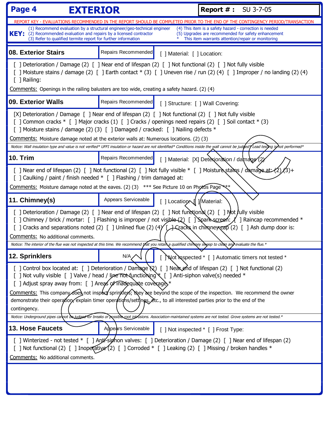| Page 4<br><b>EXTERIOR</b>                                                                                                                                                                                                   |                     | <b>Report #: SU 3-7-05</b>                                                                                                                                                                                                                                                                                                                                                                                                                                                                                                                                                                                                                  |
|-----------------------------------------------------------------------------------------------------------------------------------------------------------------------------------------------------------------------------|---------------------|---------------------------------------------------------------------------------------------------------------------------------------------------------------------------------------------------------------------------------------------------------------------------------------------------------------------------------------------------------------------------------------------------------------------------------------------------------------------------------------------------------------------------------------------------------------------------------------------------------------------------------------------|
| (1) Recommend evaluation by a structural engineer/geo-technical engineer<br><b>KEY:</b><br>(2) Recommended evaluation and repairs by a licensed contractor<br>(3) Refer to qualified termite report for further information |                     | REPORT KEY - EVALUATIONS RECOMMENDED IN THE REPORT SHOULD BE COMPLETED PRIOR TO THE END OF THE CONTINGENCY PERIOD/TRANSACTION<br>(4) This item is a safety hazard - correction is needed<br>(5) Upgrades are recommended for safety enhancement<br>This item warrants attention/repair or monitoring                                                                                                                                                                                                                                                                                                                                        |
| <b>08. Exterior Stairs</b>                                                                                                                                                                                                  | Repairs Recommended | [ ] Material: [ ] Location:                                                                                                                                                                                                                                                                                                                                                                                                                                                                                                                                                                                                                 |
| $\lceil \ \rceil$ Railing:<br>Comments: Openings in the railing balusters are too wide, creating a safety hazard. (2) (4)                                                                                                   |                     | [ ] Deterioration / Damage (2) [ ] Near end of lifespan (2) [ ] Not functional (2) [ ] Not fully visible<br>[ ] Moisture stains / damage (2) [ ] Earth contact * (3) [ ] Uneven rise / run (2) (4) [ ] Improper / no landing (2) (4)                                                                                                                                                                                                                                                                                                                                                                                                        |
| 09. Exterior Walls                                                                                                                                                                                                          | Repairs Recommended | [ ] Structure: [ ] Wall Covering:                                                                                                                                                                                                                                                                                                                                                                                                                                                                                                                                                                                                           |
| [ ] Moisture stains / damage (2) (3) [ ] Damaged / cracked: [ ] Nailing defects *<br><b>Comments:</b> Moisture damage noted at the exterior walls at: Numerous locations. (2) (3)                                           |                     | [X] Deterioration / Damage [ ] Near end of lifespan (2) [ ] Not functional (2) [ ] Not fully visible<br>[ ] Common cracks * [ ] Major cracks (1) [ ] Cracks / openings need repairs (2) [ ] Soil contact * (3)<br>Notice: Wall insulation type and value is not verified* UFFI insulation or hazard are not identified* Conditions inside the wall cannot be judded / Lead testing is not performed*                                                                                                                                                                                                                                        |
| <b>10. Trim</b>                                                                                                                                                                                                             | Repairs Recommended | [ ] Material: $[X]$ Detexioration / damage $(2)$                                                                                                                                                                                                                                                                                                                                                                                                                                                                                                                                                                                            |
| [ ] Caulking / paint / finish needed * [ ] Flashing / trim damaged at:<br>Comments: Moisture damage noted at the eaves. (2) (3) *** See Picture 10 on Photos Page                                                           |                     | [ ] Near end of lifespan (2) [ ] Not functional (2) [ ] Not fully visible * [ ] Moisture stains / damage at (2)                                                                                                                                                                                                                                                                                                                                                                                                                                                                                                                             |
| 11. Chimney(s)                                                                                                                                                                                                              | Appears Serviceable | [ ] Locatiop \[ ] / Material:                                                                                                                                                                                                                                                                                                                                                                                                                                                                                                                                                                                                               |
| Comments: No additional comments.                                                                                                                                                                                           |                     | [ ] Deterioration / Damage (2) [ ] Near end of lifespan (2) [ ] Not functional (2) [ ] Not fully visible<br>[ ] Chimney / brick / mortar: [ ] Flashing is improper / not visible (2) [ ] Sparkscreen: 1 ] Raincap recommended *<br>[ ] Cracks and separations noted (2) [ ] Unlined flue (2) $(4)$ [ ] Cracks in chim ney cap (2) [ ] Ash dump door is:<br>Notice: The interior of the flue was not inspected at this time. We recommend that you retain a qualified chimney sincep to clean and evaluate the flue.*                                                                                                                        |
| 12. Sprinklers                                                                                                                                                                                                              | N/A                 | [ Not inspected * [ ] Automatic timers not tested *                                                                                                                                                                                                                                                                                                                                                                                                                                                                                                                                                                                         |
| [ ] Adjust spray away from: [ ] Areas of inadequate coverages<br>contingency.                                                                                                                                               |                     | [ ] Control box located at: [ ] Deterioration / Damage \2) [ ] Neakend of lifespan (2) [ ] Not functional (2)<br>[ ] Not vully visible [ ] Valve / head / line not functioning \[ ] Anti-siphon valve(s) needed *<br>Comments: This company does not inspect sprinklers; they are beyond the scope of the inspection. We recommend the owner<br>demonstrate their operation, explain timer operations/settings, etc., to all interested parties prior to the end of the<br>Notice: Underground pipes cannot be judged for breaks or possible root intrusions. Association-maintained systems are not tested. Grove systems are not tested.* |
| <b>13. Hose Faucets</b>                                                                                                                                                                                                     | Appears Serviceable | [ ] Not inspected * [ ] Frost Type:                                                                                                                                                                                                                                                                                                                                                                                                                                                                                                                                                                                                         |
| Comments: No additional comments.                                                                                                                                                                                           |                     | [ ] Winterized - not tested * [ ] Anti sighon valves: [ ] Deterioration / Damage (2) [ ] Near end of lifespan (2)<br>[ ] Not functional (2) [ ] Inoperative (2) [ ] Corroded * [ ] Leaking (2) [ ] Missing / broken handles *                                                                                                                                                                                                                                                                                                                                                                                                               |
|                                                                                                                                                                                                                             |                     |                                                                                                                                                                                                                                                                                                                                                                                                                                                                                                                                                                                                                                             |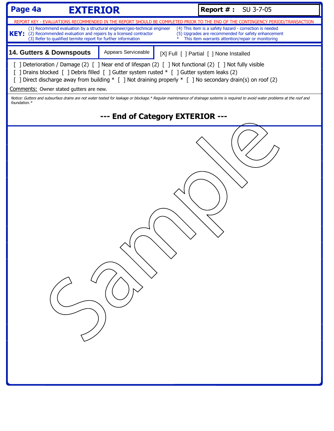| Page 4a<br><b>EXTERIOR</b>                                                                                                                                                                                                                                                                                             |                                  |        | <b>Report #: SU 3-7-05</b>                                                                                                                                                                                                                                                                           |  |  |
|------------------------------------------------------------------------------------------------------------------------------------------------------------------------------------------------------------------------------------------------------------------------------------------------------------------------|----------------------------------|--------|------------------------------------------------------------------------------------------------------------------------------------------------------------------------------------------------------------------------------------------------------------------------------------------------------|--|--|
| (1) Recommend evaluation by a structural engineer/geo-technical engineer<br>KEY: (2) Recommended evaluation and repairs by a licensed contractor<br>(3) Refer to qualified termite report for further information                                                                                                      |                                  | $\ast$ | REPORT KEY - EVALUATIONS RECOMMENDED IN THE REPORT SHOULD BE COMPLETED PRIOR TO THE END OF THE CONTINGENCY PERIOD/TRANSACTION<br>(4) This item is a safety hazard - correction is needed<br>(5) Upgrades are recommended for safety enhancement<br>This item warrants attention/repair or monitoring |  |  |
| <b>14. Gutters &amp; Downspouts</b>                                                                                                                                                                                                                                                                                    | Appears Serviceable              |        | [X] Full [ ] Partial [ ] None Installed                                                                                                                                                                                                                                                              |  |  |
| [ ] Deterioration / Damage (2) [ ] Near end of lifespan (2) [ ] Not functional (2) [ ] Not fully visible<br>[ ] Drains blocked [ ] Debris filled [ ] Gutter system rusted * [ ] Gutter system leaks (2)<br>[ ] Direct discharge away from building * [ ] Not draining properly * [ ] No secondary drain(s) on roof (2) |                                  |        |                                                                                                                                                                                                                                                                                                      |  |  |
| Comments: Owner stated gutters are new.<br>Notice: Gutters and subsurface drains are not water tested for leakage or blockage.* Regular maintenance of drainage systems is required to avoid water problems at the roof and                                                                                            |                                  |        |                                                                                                                                                                                                                                                                                                      |  |  |
| foundation.*                                                                                                                                                                                                                                                                                                           |                                  |        |                                                                                                                                                                                                                                                                                                      |  |  |
|                                                                                                                                                                                                                                                                                                                        | --- End of Category EXTERIOR --- |        |                                                                                                                                                                                                                                                                                                      |  |  |
|                                                                                                                                                                                                                                                                                                                        |                                  |        |                                                                                                                                                                                                                                                                                                      |  |  |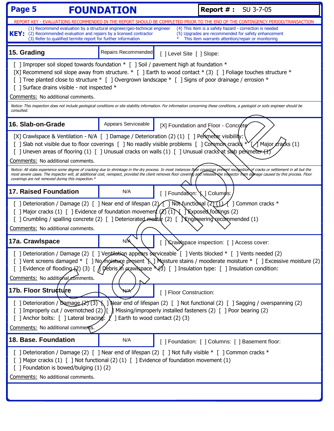| Page 5<br><b>FOUNDATION</b>                                                                                                                                                                                                                                                                                                                                                                                                                                                                                                                                                                                                                                                                                                                                 | <b>Report #: SU 3-7-05</b>                                                                                                                                                                                                                                                                                              |                                                                                                                                                                                                                                                                                                                                                                                                                              |  |  |
|-------------------------------------------------------------------------------------------------------------------------------------------------------------------------------------------------------------------------------------------------------------------------------------------------------------------------------------------------------------------------------------------------------------------------------------------------------------------------------------------------------------------------------------------------------------------------------------------------------------------------------------------------------------------------------------------------------------------------------------------------------------|-------------------------------------------------------------------------------------------------------------------------------------------------------------------------------------------------------------------------------------------------------------------------------------------------------------------------|------------------------------------------------------------------------------------------------------------------------------------------------------------------------------------------------------------------------------------------------------------------------------------------------------------------------------------------------------------------------------------------------------------------------------|--|--|
| REPORT KEY - EVALUATIONS RECOMMENDED IN THE REPORT SHOULD BE COMPLETED PRIOR TO THE END OF THE CONTINGENCY PERIOD/TRANSACTION                                                                                                                                                                                                                                                                                                                                                                                                                                                                                                                                                                                                                               |                                                                                                                                                                                                                                                                                                                         |                                                                                                                                                                                                                                                                                                                                                                                                                              |  |  |
| (1) Recommend evaluation by a structural engineer/geo-technical engineer<br>KEY: (2) Recommended evaluation and repairs by a licensed contractor<br>(3) Refer to qualified termite report for further information                                                                                                                                                                                                                                                                                                                                                                                                                                                                                                                                           |                                                                                                                                                                                                                                                                                                                         | (4) This item is a safety hazard - correction is needed<br>(5) Upgrades are recommended for safety enhancement<br>This item warrants attention/repair or monitoring                                                                                                                                                                                                                                                          |  |  |
| 15. Grading                                                                                                                                                                                                                                                                                                                                                                                                                                                                                                                                                                                                                                                                                                                                                 | Repairs Recommended                                                                                                                                                                                                                                                                                                     | [] Level Site [] Slope:                                                                                                                                                                                                                                                                                                                                                                                                      |  |  |
| [ ] Improper soil sloped towards foundation * [ ] Soil / pavement high at foundation *<br>[ ] Surface drains visible - not inspected *<br>Comments: No additional comments.<br>consulted.                                                                                                                                                                                                                                                                                                                                                                                                                                                                                                                                                                   |                                                                                                                                                                                                                                                                                                                         | [X] Recommend soil slope away from structure. $*$ [ ] Earth to wood contact $*$ (3) [ ] Foliage touches structure $*$<br>[ ] Tree planted close to structure $*$ [ ] Overgrown landscape $*$ [ ] Signs of poor drainage / errosion $*$<br>Notice: This inspection does not include geological conditions or site stability information. For information concerning these conditions, a geologist or soils engineer should be |  |  |
| 16. Slab-on-Grade                                                                                                                                                                                                                                                                                                                                                                                                                                                                                                                                                                                                                                                                                                                                           | Appears Serviceable                                                                                                                                                                                                                                                                                                     | [X] Foundation and Floor - Concrete                                                                                                                                                                                                                                                                                                                                                                                          |  |  |
| [X] Crawlspace & Ventilation - N/A [ ] Damage / Deterioration (2) (1) [ ] Penimeter visibility:<br>[ ] Slab not visible due to floor coverings [ ] No readily visible problems [ ] Common crack * [ A Major eracks (1)<br>[ ] Uneven areas of flooring (1) [ ] Unusual cracks on walls (1) [ ] Unusual cracks at sinab perimeter (+)<br>Comments: No additional comments.<br>Notice: All slabs experience some degree of cracking due to shrinkage in the dry process. In most instances figor coverings prevent recognition of cracks or settlement in all but the<br>most severe cases. The inspector will, at additional cost, reinspect, provided the client removes floor covering and releases the inspector hom damage caused by this process. Floor |                                                                                                                                                                                                                                                                                                                         |                                                                                                                                                                                                                                                                                                                                                                                                                              |  |  |
| <b>17. Raised Foundation</b>                                                                                                                                                                                                                                                                                                                                                                                                                                                                                                                                                                                                                                                                                                                                | N/A                                                                                                                                                                                                                                                                                                                     | [ ] Foundation: $\setminus$ ] Columds:                                                                                                                                                                                                                                                                                                                                                                                       |  |  |
| Comments: No additional comments.                                                                                                                                                                                                                                                                                                                                                                                                                                                                                                                                                                                                                                                                                                                           | [ ] Deterioration / Damage (2) [ ] Near end of lifespan (2) $\sqrt{ }$ ] Not functional (2) $(1)$ / ] Common cracks *<br>[ ] Major cracks (1) [ ] Evidence of foundation movement $(Z)(1)$ [ ] Exposed footings (2)<br>[] Crumbling / spalling concrete (2) [] Deteriorated montar (2) [] \ Engineering recommended (1) |                                                                                                                                                                                                                                                                                                                                                                                                                              |  |  |
| 17a. Crawlspace                                                                                                                                                                                                                                                                                                                                                                                                                                                                                                                                                                                                                                                                                                                                             | N/A                                                                                                                                                                                                                                                                                                                     | Crawlspace inspection: [ ] Access cover:                                                                                                                                                                                                                                                                                                                                                                                     |  |  |
| [ ] Deterioration / Damage (2) [ ] Ventilation appears serviceable [ ] Vents blocked * [ ] Vents needed (2)<br>[ ] Vent screens damaged * [ ] No moisture present \] Moisture stains / mooderate moisture * [ ] Excessive moisture (2)<br>[ ] Evidence of flooding (2) (3) [ $\int \int \int \phi$ bris $\sin \phi$ and $\sin \phi$ and $\sin \phi$ [ ] Insulation type: [ ] Insulation condition:<br>Comments: No additional comments.                                                                                                                                                                                                                                                                                                                     |                                                                                                                                                                                                                                                                                                                         |                                                                                                                                                                                                                                                                                                                                                                                                                              |  |  |
| 17b. Floor Structure                                                                                                                                                                                                                                                                                                                                                                                                                                                                                                                                                                                                                                                                                                                                        | NA                                                                                                                                                                                                                                                                                                                      | [ ] Floor Construction:                                                                                                                                                                                                                                                                                                                                                                                                      |  |  |
| [ ] Deterioration / Damage (2) (3) \ ] Near end of lifespan (2) [ ] Not functional (2) [ ] Sagging / overspanning (2)<br>[2] Improperly cut / overnotched (2) [ ] Missing/improperly installed fasteners (2) [ ] Poor bearing (2)<br>[ ] Anchor bolts: [ ] Lateral bracing: $\chi$ ] Earth to wood contact (2) (3)<br>Comments: No additional comments.                                                                                                                                                                                                                                                                                                                                                                                                     |                                                                                                                                                                                                                                                                                                                         |                                                                                                                                                                                                                                                                                                                                                                                                                              |  |  |
| 18. Base. Foundation                                                                                                                                                                                                                                                                                                                                                                                                                                                                                                                                                                                                                                                                                                                                        | N/A                                                                                                                                                                                                                                                                                                                     | [ ] Foundation: [ ] Columns: [ ] Basement floor:                                                                                                                                                                                                                                                                                                                                                                             |  |  |
| [ ] Deterioration / Damage (2) [ ] Near end of lifespan (2) [ ] Not fully visible * [ ] Common cracks *<br>[ ] Major cracks (1) [ ] Not functional (2) (1) [ ] Evidence of foundation movement (1)<br>[ ] Foundation is bowed/bulging (1) (2)<br>Comments: No additional comments.                                                                                                                                                                                                                                                                                                                                                                                                                                                                          |                                                                                                                                                                                                                                                                                                                         |                                                                                                                                                                                                                                                                                                                                                                                                                              |  |  |
|                                                                                                                                                                                                                                                                                                                                                                                                                                                                                                                                                                                                                                                                                                                                                             |                                                                                                                                                                                                                                                                                                                         |                                                                                                                                                                                                                                                                                                                                                                                                                              |  |  |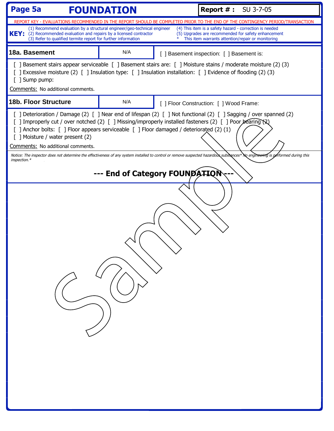| Page 5a<br><b>FOUNDATION</b>                                                                                                                                                                                                                                                   |                                | <b>Report #: SU 3-7-05</b>                                                                                                                                                                                                                                                                           |
|--------------------------------------------------------------------------------------------------------------------------------------------------------------------------------------------------------------------------------------------------------------------------------|--------------------------------|------------------------------------------------------------------------------------------------------------------------------------------------------------------------------------------------------------------------------------------------------------------------------------------------------|
|                                                                                                                                                                                                                                                                                |                                | REPORT KEY - EVALUATIONS RECOMMENDED IN THE REPORT SHOULD BE COMPLETED PRIOR TO THE END OF THE CONTINGENCY PERIOD/TRANSACTION                                                                                                                                                                        |
| (1) Recommend evaluation by a structural engineer/geo-technical engineer<br><b>KEY:</b><br>(2) Recommended evaluation and repairs by a licensed contractor<br>(3) Refer to qualified termite report for further information                                                    |                                | (4) This item is a safety hazard - correction is needed<br>(5) Upgrades are recommended for safety enhancement<br>This item warrants attention/repair or monitoring                                                                                                                                  |
| 18a. Basement                                                                                                                                                                                                                                                                  | N/A                            | [ ] Basement inspection: [ ] Basement is:                                                                                                                                                                                                                                                            |
| [20 ] Excessive moisture (2) [20 ] Insulation type: [20 ] Insulation installation: [20 ] Evidence of flooding (2)<br>[ ] Sump pump:                                                                                                                                            |                                | [ ] Basement stairs appear serviceable [ ] Basement stairs are: [ ] Moisture stains / moderate moisture (2) (3)                                                                                                                                                                                      |
| Comments: No additional comments.                                                                                                                                                                                                                                              |                                |                                                                                                                                                                                                                                                                                                      |
| <b>18b. Floor Structure</b>                                                                                                                                                                                                                                                    | N/A                            | [ ] Floor Construction: [ ] Wood Frame:                                                                                                                                                                                                                                                              |
| [ ] Improperly cut / over notched (2) [ ] Missing/improperly installed fasteners (2) [ ] Poor bearing (2)<br>[ ] Anchor bolts: [ ] Floor appears serviceable [ ] Floor damaged / deteriorated (2) (1)<br>[ ] Moisture / water present (2)<br>Comments: No additional comments. |                                | [ ] Deterioration / Damage (2) [ ] Near end of lifespan (2) [ ] Not functional (2) [ ] Sagging / over spanned (2)<br>Notice: The inspector does not determine the effectiveness of any system installed to control or remove suspected hazardous substances* No engineering is performed during this |
| inspection.*                                                                                                                                                                                                                                                                   |                                |                                                                                                                                                                                                                                                                                                      |
|                                                                                                                                                                                                                                                                                | --- End of Category FOUNDATION |                                                                                                                                                                                                                                                                                                      |
|                                                                                                                                                                                                                                                                                |                                |                                                                                                                                                                                                                                                                                                      |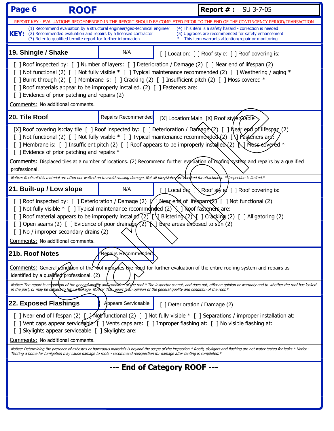| (1) Recommend evaluation by a structural engineer/geo-technical engineer<br>KEY: (2) Recommended evaluation and repairs by a licensed contractor<br>(3) Refer to qualified termite report for further information<br>19. Shingle / Shake                                                                                                                                                                                                                                                                                                                                |                     | REPORT KEY - EVALUATIONS RECOMMENDED IN THE REPORT SHOULD BE COMPLETED PRIOR TO THE END OF THE CONTINGENCY PERIOD/TRANSACTION<br>(4) This item is a safety hazard - correction is needed<br>(5) Upgrades are recommended for safety enhancement |  |  |
|-------------------------------------------------------------------------------------------------------------------------------------------------------------------------------------------------------------------------------------------------------------------------------------------------------------------------------------------------------------------------------------------------------------------------------------------------------------------------------------------------------------------------------------------------------------------------|---------------------|-------------------------------------------------------------------------------------------------------------------------------------------------------------------------------------------------------------------------------------------------|--|--|
|                                                                                                                                                                                                                                                                                                                                                                                                                                                                                                                                                                         |                     |                                                                                                                                                                                                                                                 |  |  |
|                                                                                                                                                                                                                                                                                                                                                                                                                                                                                                                                                                         |                     | This item warrants attention/repair or monitoring                                                                                                                                                                                               |  |  |
|                                                                                                                                                                                                                                                                                                                                                                                                                                                                                                                                                                         | N/A                 | [] Location: [] Roof style: [] Roof covering is:                                                                                                                                                                                                |  |  |
| [ ] Roof inspected by: [ ] Number of layers: [ ] Deterioration / Damage (2) [ ] Near end of lifespan (2)<br>[ ] Not functional (2) [ ] Not fully visible * [ ] Typical maintenance recommended (2) [ ] Weathering / aging *<br>[ ] Burnt through (2) [ ] Membrane is: [ ] Cracking (2) [ ] Insufficient pitch (2) [ ] Moss covered *<br>[ ] Roof materials appear to be improperly installed. (2) [ ] Fasteners are:<br>[ ] Evidence of prior patching and repairs (2)<br>Comments: No additional comments.                                                             |                     |                                                                                                                                                                                                                                                 |  |  |
| 20. Tile Roof                                                                                                                                                                                                                                                                                                                                                                                                                                                                                                                                                           | Repairs Recommended | [X] Location: Main [X] Roof style: Gable                                                                                                                                                                                                        |  |  |
| [X] Roof covering is:clay tile $[$ ] Roof inspected by: $[$ ] Deterioration / Damage (2) $[$ ] Near end of lifespan (2)<br>[ ] Not functional (2) [ ] Not fully visible $*$ [ ] Typical maintenance recommended (2) [ \] Pasteners are:<br>[ ] Membrane is: [ ] Insufficient pitch (2) [ ] Roof appears to be improperly installed (2) $\bigcup$ Moss-eovered *<br>[ ] Evidence of prior patching and repairs $*$<br>Comments: Displaced tiles at a number of locations. (2) Recommend further evaluation of reofing system and repairs by a qualified<br>professional. |                     |                                                                                                                                                                                                                                                 |  |  |
| 21. Built-up / Low slope                                                                                                                                                                                                                                                                                                                                                                                                                                                                                                                                                | N/A                 | Notice: Roofs of this material are often not walked on to avoid causing damage. Not all tiles/slates are sheeked for attachment. * Inspection is limited.*<br>] Location: [ Roof style! [ ] Roof covering is:                                   |  |  |
| [ ] Not fully visible $*$ [ ] Typical maintenance recommended (2) $\setminus$ ] Roof fasteners are:<br>[ ] Open seams (2) [ ] Evidence of poor drainage $(2)$ $\setminus$ Bare areas exposed to sun (2)<br>[ ] No / improper secondary drains (2)<br>Comments: No additional comments.                                                                                                                                                                                                                                                                                  |                     | [ ] Roof material appears to be improperly installed (2) [ \] Blistering (2) \[ ] Cracking (2) [ ] Alligatoring (2)                                                                                                                             |  |  |
| 21b. Roof Notes                                                                                                                                                                                                                                                                                                                                                                                                                                                                                                                                                         | Repairs Recommended |                                                                                                                                                                                                                                                 |  |  |
| identified by a qualified professional. (2)                                                                                                                                                                                                                                                                                                                                                                                                                                                                                                                             |                     | Comments: General condition of the roof indicates the need for further evaluation of the entire roofing system and repairs as                                                                                                                   |  |  |
|                                                                                                                                                                                                                                                                                                                                                                                                                                                                                                                                                                         |                     | Notice: The report is an opinion of the general quality and condition of the roof.* The inspector cannot, and does not, offer an opinion or warranty and to whether the roof has leaked<br>in the past, or may be subject to futu               |  |  |
| 22. Exposed Flashings                                                                                                                                                                                                                                                                                                                                                                                                                                                                                                                                                   | Appears Serviceable | [ ] Deterioration / Damage (2)                                                                                                                                                                                                                  |  |  |
| [ ] Near end of lifespan (2) [ $\frac{1}{2}$ Not fully visible * [ ] Separations / improper installation at:<br>[ ] Vent caps appear service ble [ ] Vents caps are: [ ] Improper flashing at: [ ] No visible flashing at:<br>[ ] Skylights appear serviceable [ ] Skylights are:<br>Comments: No additional comments.                                                                                                                                                                                                                                                  |                     |                                                                                                                                                                                                                                                 |  |  |
| Notice: Determining the presence of asbestos or hazardous materials is beyond the scope of the inspection.* Roofs, skylights and flashing are not water tested for leaks.* Notice:<br>Tenting a home for fumigation may cause damage to roofs - recommend reinspection for damage after tenting is completed.*                                                                                                                                                                                                                                                          |                     |                                                                                                                                                                                                                                                 |  |  |
|                                                                                                                                                                                                                                                                                                                                                                                                                                                                                                                                                                         |                     | --- End of Category ROOF ---                                                                                                                                                                                                                    |  |  |
|                                                                                                                                                                                                                                                                                                                                                                                                                                                                                                                                                                         |                     |                                                                                                                                                                                                                                                 |  |  |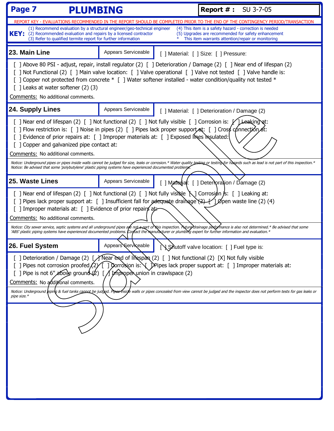| Page 7<br><b>PLUMBING</b>                                                                                                                                                                                                                                                                                                                                                                                          |                                                                                                                                                                                                                                                                                                                                                                                                                                                                                                      | <b>Report #: SU 3-7-05</b> |                                                                                                                                                                                                                                         |  |
|--------------------------------------------------------------------------------------------------------------------------------------------------------------------------------------------------------------------------------------------------------------------------------------------------------------------------------------------------------------------------------------------------------------------|------------------------------------------------------------------------------------------------------------------------------------------------------------------------------------------------------------------------------------------------------------------------------------------------------------------------------------------------------------------------------------------------------------------------------------------------------------------------------------------------------|----------------------------|-----------------------------------------------------------------------------------------------------------------------------------------------------------------------------------------------------------------------------------------|--|
|                                                                                                                                                                                                                                                                                                                                                                                                                    | REPORT KEY - EVALUATIONS RECOMMENDED IN THE REPORT SHOULD BE COMPLETED PRIOR TO THE END OF THE CONTINGENCY PERIOD/TRANSACTION                                                                                                                                                                                                                                                                                                                                                                        |                            |                                                                                                                                                                                                                                         |  |
| (4) This item is a safety hazard - correction is needed<br>(1) Recommend evaluation by a structural engineer/geo-technical engineer<br><b>KEY:</b><br>(2) Recommended evaluation and repairs by a licensed contractor<br>(5) Upgrades are recommended for safety enhancement<br>(3) Refer to qualified termite report for further information<br>This item warrants attention/repair or monitoring                 |                                                                                                                                                                                                                                                                                                                                                                                                                                                                                                      |                            |                                                                                                                                                                                                                                         |  |
| 23. Main Line                                                                                                                                                                                                                                                                                                                                                                                                      | Appears Serviceable                                                                                                                                                                                                                                                                                                                                                                                                                                                                                  |                            | [ ] Material: [ ] Size: [ ] Pressure:                                                                                                                                                                                                   |  |
| [] Copper not protected from concrete * [] Water softener installed - water condition/quality not tested *<br>$[$ ] Leaks at water softener $(2)$ $(3)$<br>Comments: No additional comments.                                                                                                                                                                                                                       |                                                                                                                                                                                                                                                                                                                                                                                                                                                                                                      |                            | [ ] Above 80 PSI - adjust, repair, install regulator (2) [ ] Deterioration / Damage (2) [ ] Near end of lifespan (2)<br>[ ] Not Functional (2) [ ] Main valve location: [ ] Valve operational [ ] Valve not tested [ ] Valve handle is: |  |
| 24. Supply Lines                                                                                                                                                                                                                                                                                                                                                                                                   | Appears Serviceable                                                                                                                                                                                                                                                                                                                                                                                                                                                                                  |                            | [ ] Material: [ ] Deterioration / Damage (2)                                                                                                                                                                                            |  |
| [ ] Near end of lifespan (2) [ ] Not functional (2) [ ] Not fully visible [ ] Corrosion is: $\sqrt{\text{Leeking}}$ at:<br>[] Flow restriction is: [] Noise in pipes (2) [] Pipes lack proper support at: [] Cross connection at:<br>[ ] Evidence of prior repairs at: [ ] Improper materials at: [ ] Exposed lines in sulated:<br>[ ] Copper and galvanized pipe contact at:<br>Comments: No additional comments. |                                                                                                                                                                                                                                                                                                                                                                                                                                                                                                      |                            |                                                                                                                                                                                                                                         |  |
| Notice: Be advised that some 'polybutylene' plastic piping systems have experienced documented problenys.                                                                                                                                                                                                                                                                                                          |                                                                                                                                                                                                                                                                                                                                                                                                                                                                                                      |                            | Notice: Underground pipes or pipes inside walls cannot be judged for size, leaks or corrosion.* Water quality testing for testing for hazards such as lead is not part of this inspection.*                                             |  |
| 25. Waste Lines                                                                                                                                                                                                                                                                                                                                                                                                    | Appears Serviceable                                                                                                                                                                                                                                                                                                                                                                                                                                                                                  |                            | [ ] Matedial: [ ] Deterroration / Damage (2)                                                                                                                                                                                            |  |
| Comments: No additional comments.<br>'ABS' plastic piping systems have experienced documented problems. Corfact the manufacturer or plumbing expert for further information and evaluation.*                                                                                                                                                                                                                       | [ ] Near end of lifespan (2) [ ] Not functional (2) [ ] Not fully visible $\bigwedge$ ] Corrosion is: [ ] Leaking at:<br>[ ] Pipes lack proper support at: [ ] Insufficient fall for adequate drainage $(2)$ [1] $\beta$ pen waste line (2) (4)<br>[ ] Improper materials at: [ ] Evidence of prior repairs at:<br>Notice: City sewer service, septic systems and all underground pipes are not a part of this inspection. Future drainage performance is also not determined.* Be advised that some |                            |                                                                                                                                                                                                                                         |  |
| 26. Fuel System                                                                                                                                                                                                                                                                                                                                                                                                    | Appears Serviceable                                                                                                                                                                                                                                                                                                                                                                                                                                                                                  |                            | NShutoff valve location: [ ] Fuel type is:                                                                                                                                                                                              |  |
| [ ] Deterioration / Damage (2) [/ Near end of lifespan (2) [ ] Not functional (2) [X] Not fully visible<br>] Pipes not corrosion proofed/2/[ ] Corrosion is: V DPipes lack proper support at: [ ] Improper materials at:<br>[ ] Pipe is not 6", above ground $(2)$ [ $\bigwedge$ Improper union in crawlspace (2)<br>Comments: No additional comments.                                                             |                                                                                                                                                                                                                                                                                                                                                                                                                                                                                                      |                            |                                                                                                                                                                                                                                         |  |
| Notice: Underground biping & fuel tanks cannot be judged. Pipee Inside walls or pipes concealed from view cannot be judged and the inspector does not perform tests for gas leaks or<br>pipe size.*                                                                                                                                                                                                                |                                                                                                                                                                                                                                                                                                                                                                                                                                                                                                      |                            |                                                                                                                                                                                                                                         |  |
|                                                                                                                                                                                                                                                                                                                                                                                                                    |                                                                                                                                                                                                                                                                                                                                                                                                                                                                                                      |                            |                                                                                                                                                                                                                                         |  |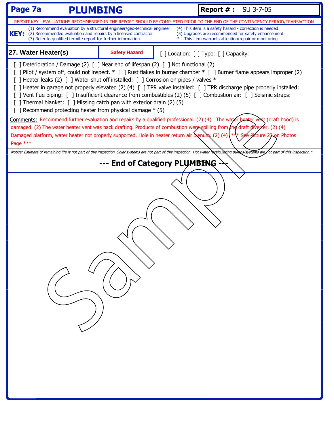| Page 7a<br><b>PLUMBING</b>                                                                                                                                                                                                                                                                                                                                                                                                                                                                                                                                                                                                                                                                                                                                                                                                    |                      |  | <b>Report #: SU 3-7-05</b>                                                                                                                                                                |  |
|-------------------------------------------------------------------------------------------------------------------------------------------------------------------------------------------------------------------------------------------------------------------------------------------------------------------------------------------------------------------------------------------------------------------------------------------------------------------------------------------------------------------------------------------------------------------------------------------------------------------------------------------------------------------------------------------------------------------------------------------------------------------------------------------------------------------------------|----------------------|--|-------------------------------------------------------------------------------------------------------------------------------------------------------------------------------------------|--|
|                                                                                                                                                                                                                                                                                                                                                                                                                                                                                                                                                                                                                                                                                                                                                                                                                               |                      |  | REPORT KEY - EVALUATIONS RECOMMENDED IN THE REPORT SHOULD BE COMPLETED PRIOR TO THE END OF THE CONTINGENCY PERIOD/TRANSACTION                                                             |  |
| (4) This item is a safety hazard - correction is needed<br>(1) Recommend evaluation by a structural engineer/geo-technical engineer<br><b>KEY:</b><br>(2) Recommended evaluation and repairs by a licensed contractor<br>(5) Upgrades are recommended for safety enhancement<br>(3) Refer to qualified termite report for further information<br>This item warrants attention/repair or monitoring                                                                                                                                                                                                                                                                                                                                                                                                                            |                      |  |                                                                                                                                                                                           |  |
| 27. Water Heater(s)                                                                                                                                                                                                                                                                                                                                                                                                                                                                                                                                                                                                                                                                                                                                                                                                           | <b>Safety Hazard</b> |  | [] Location: [] Type: [] Capacity:                                                                                                                                                        |  |
| [ ] Deterioration / Damage (2) [ ] Near end of lifespan (2) [ ] Not functional (2)<br>[ ] Pilot / system off, could not inspect. * [ ] Rust flakes in burner chamber * [ ] Burner flame appears improper (2)<br>[ ] Heater leaks (2) [ ] Water shut off installed: [ ] Corrosion on pipes / valves *<br>[ ] Heater in garage not properly elevated (2) (4) [ ] TPR valve installed: [ ] TPR discharge pipe properly installed:<br>[ ] Vent flue piping: [ ] Insufficient clearance from combustibles (2) (5) [ ] Combustion air: [ ] Seismic straps:<br>[ ] Thermal blanket: [ ] Missing catch pan with exterior drain (2) (5)<br>[ ] Recommend protecting heater from physical damage * (5)<br>Comments: Recommend further evaluation and repairs by a qualified professional. (2) (4) The water beater vent (draft hood) is |                      |  |                                                                                                                                                                                           |  |
| Damaged platform, water heater not properly supported. Hole in heater return air plenum. (2) (4) $(*)$                                                                                                                                                                                                                                                                                                                                                                                                                                                                                                                                                                                                                                                                                                                        |                      |  | damaged. (2) The water heater vent was back drafting. Products of combustion were spilling from the draft diverter. (2) (4)<br>e Picture 27 on Photos                                     |  |
| Page ***                                                                                                                                                                                                                                                                                                                                                                                                                                                                                                                                                                                                                                                                                                                                                                                                                      |                      |  | Notice: Estimate of remaining life is not part of this inspection. Solar systems are not part of this inspection. Hot water recalculating pumps/systems are not part of this inspection.* |  |
|                                                                                                                                                                                                                                                                                                                                                                                                                                                                                                                                                                                                                                                                                                                                                                                                                               |                      |  |                                                                                                                                                                                           |  |
| --- End of Category PLUMBING                                                                                                                                                                                                                                                                                                                                                                                                                                                                                                                                                                                                                                                                                                                                                                                                  |                      |  |                                                                                                                                                                                           |  |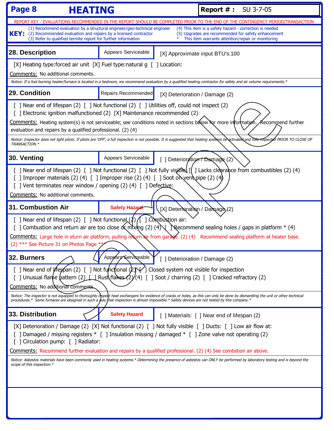| Page 8<br><b>HEATING</b>                                                                                                                                                                                                                                                                                                                                                           |                                                                                                                                                                                                                                                                                                                                          | <b>Report #: SU 3-7-05</b>                                                                                                                                                                                                                                                                                                 |  |
|------------------------------------------------------------------------------------------------------------------------------------------------------------------------------------------------------------------------------------------------------------------------------------------------------------------------------------------------------------------------------------|------------------------------------------------------------------------------------------------------------------------------------------------------------------------------------------------------------------------------------------------------------------------------------------------------------------------------------------|----------------------------------------------------------------------------------------------------------------------------------------------------------------------------------------------------------------------------------------------------------------------------------------------------------------------------|--|
|                                                                                                                                                                                                                                                                                                                                                                                    |                                                                                                                                                                                                                                                                                                                                          | REPORT KEY - EVALUATIONS RECOMMENDED IN THE REPORT SHOULD BE COMPLETED PRIOR TO THE END OF THE CONTINGENCY PERIOD/TRANSACTION                                                                                                                                                                                              |  |
| $\text{KEY:}$ (2) Recommended evaluation and repairs by a licensed contractor<br>(3) Refer to qualified termite report for further information                                                                                                                                                                                                                                     | (1) Recommend evaluation by a structural engineer/geo-technical engineer                                                                                                                                                                                                                                                                 | (4) This item is a safety hazard - correction is needed<br>(5) Upgrades are recommended for safety enhancement<br>This item warrants attention/repair or monitoring                                                                                                                                                        |  |
| 28. Description                                                                                                                                                                                                                                                                                                                                                                    | Appears Serviceable                                                                                                                                                                                                                                                                                                                      | [X] Approximate input BTU's:100                                                                                                                                                                                                                                                                                            |  |
| [X] Heating type: forced air unit $[X]$ Fuel type: natural g $\lceil \cdot \rceil$ Location:<br>Comments: No additional comments.                                                                                                                                                                                                                                                  |                                                                                                                                                                                                                                                                                                                                          | Notice: If a fuel burning heater/furnace is located in a bedroom, we recommend evaluation by a qualified heating contractor for safety and air volume requirements.*                                                                                                                                                       |  |
| 29. Condition                                                                                                                                                                                                                                                                                                                                                                      | Repairs Recommended                                                                                                                                                                                                                                                                                                                      | [X] Deterioration / Damage (2)                                                                                                                                                                                                                                                                                             |  |
| evaluation and repairs by a qualified professional. (2) (4)                                                                                                                                                                                                                                                                                                                        | [ ] Near end of lifespan (2) [ ] Not functional (2) [ ] Utilities off, could not inspect (2)<br>[ ] Electronic ignition malfunctioned (2) [X] Maintenance recommended (2)                                                                                                                                                                | Comments: Heating system(s) is not serviceable; see conditions noted in sections below for more information. Aecommend further<br>Notice: Inspector does not light pilots. If pilots are 'OFF', a full inspection is not possible. It is suggested that heating systems be activated and fully inspected PRIOR TO CLOSE OF |  |
| TRANSACTION.*                                                                                                                                                                                                                                                                                                                                                                      |                                                                                                                                                                                                                                                                                                                                          |                                                                                                                                                                                                                                                                                                                            |  |
| 30. Venting                                                                                                                                                                                                                                                                                                                                                                        | Appears Serviceable                                                                                                                                                                                                                                                                                                                      | [ ] Deterioration Damage (2)                                                                                                                                                                                                                                                                                               |  |
| [ ] Near end of lifespan (2) [ ] Not functional (2) [ ] Not fully visibles [[ ] Lacks clearance from combustibles (2) (4)<br>[ ] Improper materials (2) (4) [ ] Improper rise (2) (4) [ ] Soot on vent pipe (2) (4)<br>[ ] Vent terminates near window / opening (2) (4) [ ] Defective:<br>Comments: No additional comments.                                                       |                                                                                                                                                                                                                                                                                                                                          |                                                                                                                                                                                                                                                                                                                            |  |
| 31. Combustion Air                                                                                                                                                                                                                                                                                                                                                                 | <b>Safety Hazard</b>                                                                                                                                                                                                                                                                                                                     | [X] Deterloration / Damage (2)                                                                                                                                                                                                                                                                                             |  |
| [ ] Near end of lifespan (2) [ ] Not functional $(2)$ $($ ] Combustion air:<br>[ ] Combustion and return air are too close $\alpha$ mxing (2) (4) Recommend sealing holes / gaps in platform $*$ (4)<br>Comments: Large hole in eturn air platform, pulling return air from garage. (2) (4) Recommend sealing platform at heater base.<br>(2) *** See Picture 31 on Photos Page ** |                                                                                                                                                                                                                                                                                                                                          |                                                                                                                                                                                                                                                                                                                            |  |
| 32. Burners                                                                                                                                                                                                                                                                                                                                                                        | Appears Serviceable                                                                                                                                                                                                                                                                                                                      | [ ] Deterioration / Damage (2)                                                                                                                                                                                                                                                                                             |  |
| [ ] Near end of <i>iffesfan</i> (2) [ ] Not functional (2) \/ ] Closed system not visible for inspection<br>[ ] Unusual flame pattern (2) $\Box$ Rust flames $(2)/(4)$ [ ] Soot / charring (2) [ ] Cracked refractory (2)<br>Comments: No additional comments                                                                                                                      |                                                                                                                                                                                                                                                                                                                                          |                                                                                                                                                                                                                                                                                                                            |  |
|                                                                                                                                                                                                                                                                                                                                                                                    | procedures.* Some furnaces are designed in such a way that inspection is almost impossible.* Safety devices are not tested by this company.*                                                                                                                                                                                             | Notice: The inspector is not equipped to thoroughly inspect heat exchangers for evidence of cracks or holes, as this can only be done by dismantling the unit or other technical                                                                                                                                           |  |
| 33. Distribution                                                                                                                                                                                                                                                                                                                                                                   | <b>Safety Hazard</b>                                                                                                                                                                                                                                                                                                                     | [ ] Materials: [ ] Near end of lifespan (2)                                                                                                                                                                                                                                                                                |  |
| [] Circulation pump: [] Radiator:<br>scope of this inspection.*                                                                                                                                                                                                                                                                                                                    | [X] Deterioration / Damage (2) [X] Not functional (2) [ ] Not fully visible [ ] Ducts: [ ] Low air flow at:<br>[ ] Damaged / missing registers * [ ] Insulation missing / damaged * [ ] Zone valve not operating (2)<br>Comments: Recommend further evaluation and repairs by a qualified professional. (2) (4) See combstion air above. | Notice: Asbestos materials have been commonly used in heating systems.* Determining the presence of asbestos can ONLY be performed by laboratory testing and is beyond the                                                                                                                                                 |  |
|                                                                                                                                                                                                                                                                                                                                                                                    |                                                                                                                                                                                                                                                                                                                                          |                                                                                                                                                                                                                                                                                                                            |  |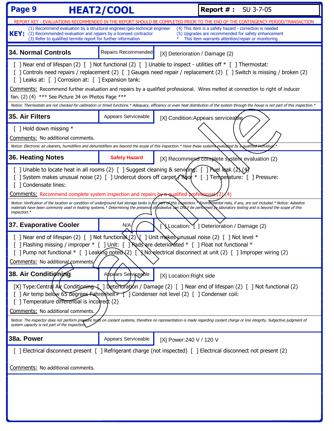| Page 9<br><b>HEAT2/COOL</b>                                                                                                                                                                                                                                                                                                                                                                        |                                                                                                                                                                                                                                                                                                                                                                                                                                    |                                | <b>Report #: SU 3-7-05</b>                                                                                                                                                                                                                                                                                                                                       |  |  |
|----------------------------------------------------------------------------------------------------------------------------------------------------------------------------------------------------------------------------------------------------------------------------------------------------------------------------------------------------------------------------------------------------|------------------------------------------------------------------------------------------------------------------------------------------------------------------------------------------------------------------------------------------------------------------------------------------------------------------------------------------------------------------------------------------------------------------------------------|--------------------------------|------------------------------------------------------------------------------------------------------------------------------------------------------------------------------------------------------------------------------------------------------------------------------------------------------------------------------------------------------------------|--|--|
|                                                                                                                                                                                                                                                                                                                                                                                                    |                                                                                                                                                                                                                                                                                                                                                                                                                                    |                                | REPORT KEY - EVALUATIONS RECOMMENDED IN THE REPORT SHOULD BE COMPLETED PRIOR TO THE END OF THE CONTINGENCY PERIOD/TRANSACTION                                                                                                                                                                                                                                    |  |  |
| (4) This item is a safety hazard - correction is needed<br>(1) Recommend evaluation by a structural engineer/geo-technical engineer<br><b>KEY:</b><br>(2) Recommended evaluation and repairs by a licensed contractor<br>(5) Upgrades are recommended for safety enhancement<br>(3) Refer to qualified termite report for further information<br>This item warrants attention/repair or monitoring |                                                                                                                                                                                                                                                                                                                                                                                                                                    |                                |                                                                                                                                                                                                                                                                                                                                                                  |  |  |
| <b>34. Normal Controls</b>                                                                                                                                                                                                                                                                                                                                                                         | Repairs Recommended                                                                                                                                                                                                                                                                                                                                                                                                                | [X] Deterioration / Damage (2) |                                                                                                                                                                                                                                                                                                                                                                  |  |  |
|                                                                                                                                                                                                                                                                                                                                                                                                    | [ ] Near end of lifespan (2) [ ] Not functional (2) [ ] Unable to inspect - utilities off * [ ] Thermostat:<br>[20] Controls need repairs / replacement (2) [20] Gauges need repair / replacement (2) [20] Switch is missing / broken (2)<br>[ ] Leaks at: [ ] Corrosion at: [ ] Expansion tank:<br>Comments: Recommend further evaluation and repairs by a qualified professional. Wires melted at connection to right of inducer |                                |                                                                                                                                                                                                                                                                                                                                                                  |  |  |
| fan. (2) (4) *** See Picture 34 on Photos Page ***                                                                                                                                                                                                                                                                                                                                                 |                                                                                                                                                                                                                                                                                                                                                                                                                                    |                                | Notice: Thermostats are not checked for calibration or timed functions.* Adequacy, efficiency or even heat distribution of the system through the house is not part of this inspection.*                                                                                                                                                                         |  |  |
| 35. Air Filters                                                                                                                                                                                                                                                                                                                                                                                    | Appears Serviceable                                                                                                                                                                                                                                                                                                                                                                                                                |                                | [X] Condition: Appears serviceable                                                                                                                                                                                                                                                                                                                               |  |  |
| [ ] Hold down missing *<br>Comments: No additional comments.<br>Notice: Electronic air cleaners, humidifiers and dehumidifiers are beyond the scope of this inspection.* Have these systems evaluated by a qualifie <del>d ind</del> ividual                                                                                                                                                       |                                                                                                                                                                                                                                                                                                                                                                                                                                    |                                |                                                                                                                                                                                                                                                                                                                                                                  |  |  |
| <b>36. Heating Notes</b>                                                                                                                                                                                                                                                                                                                                                                           | <b>Safety Hazard</b>                                                                                                                                                                                                                                                                                                                                                                                                               |                                | [X] Recommend complete system evaluation (2)                                                                                                                                                                                                                                                                                                                     |  |  |
| [ ] Unable to locate heat in all rooms (2) [ ] Suggest cleaning & serviring: [ ] Puel leak (2) (4)<br>[ ] System makes unusual noise (2) [ ] Undercut doors off carpet/ $\mathcal{N}\phi$   [ ] Temperature: [ ] Pressure:<br>[ ] Condensate lines:<br><u>Comments:</u> Recommend complete system inspection and repairs by a squalified professional (2)                                          |                                                                                                                                                                                                                                                                                                                                                                                                                                    |                                |                                                                                                                                                                                                                                                                                                                                                                  |  |  |
| inspection.*                                                                                                                                                                                                                                                                                                                                                                                       |                                                                                                                                                                                                                                                                                                                                                                                                                                    |                                | Notice: Verification of the location or condition of underground fuel storage tanks is not part of this inspection. Nanvironmental risks, if any, are not included.* Notice: Asbestos<br>materials have been commonly used in heating systems.* Determining the presence offasbestos con ONLY be performed by laboratory testing and is beyond the scope of this |  |  |
| 37. Evaporative Cooler                                                                                                                                                                                                                                                                                                                                                                             | N/A                                                                                                                                                                                                                                                                                                                                                                                                                                |                                | Location: Y ] Deterioration / Damage (2)                                                                                                                                                                                                                                                                                                                         |  |  |
| [ ] Near end of lifespan (2) [ ] Not function $\lambda(2) \setminus \cdot$ ] Unit make synusual noise (2) [ ] Not level *<br>] Flashing missing / improper $*$ [ ] Unit: [ ] Rads are deteriorated $*$ [ ] Float not functional $*$<br>[ ] Pump not functional * [ ] Leaking noted (2) [ $\N$ No electrical disconnect at unit (2) [ ] Improper wiring (2)<br>Comments: No additional comments     |                                                                                                                                                                                                                                                                                                                                                                                                                                    |                                |                                                                                                                                                                                                                                                                                                                                                                  |  |  |
| 38. Air Conditioning                                                                                                                                                                                                                                                                                                                                                                               | Appears Selviceable                                                                                                                                                                                                                                                                                                                                                                                                                | [X] Location: Right side       |                                                                                                                                                                                                                                                                                                                                                                  |  |  |
| [X] Type:Central Alx Conditioning [ ] Deterioration / Damage (2) [ ] Near end of lifespan (2) [ ] Not functional (2)<br>[] Air temp below 65 degrees Fahrenheit + [1] Condenser not level (2) [] Condenser coil:<br>[ ] Temperature differential is incorred (2)<br>Comments: No additional comments                                                                                               |                                                                                                                                                                                                                                                                                                                                                                                                                                    |                                |                                                                                                                                                                                                                                                                                                                                                                  |  |  |
| system capacity is not part of the inspection                                                                                                                                                                                                                                                                                                                                                      |                                                                                                                                                                                                                                                                                                                                                                                                                                    |                                | Notice: The inspector does not perform pressure tests on coolant systems, therefore no representation is made regarding coolant charge or line integrity. Subjective judgment of                                                                                                                                                                                 |  |  |
| 38a. Power                                                                                                                                                                                                                                                                                                                                                                                         | Appears Serviceable                                                                                                                                                                                                                                                                                                                                                                                                                | [X] Power: 240 V / 120 V       |                                                                                                                                                                                                                                                                                                                                                                  |  |  |
| [2] Electrical disconnect present [ ] Refrigerant charge (not inspected) [ ] Electrical disconnect not present (2)<br>Comments: No additional comments.                                                                                                                                                                                                                                            |                                                                                                                                                                                                                                                                                                                                                                                                                                    |                                |                                                                                                                                                                                                                                                                                                                                                                  |  |  |
|                                                                                                                                                                                                                                                                                                                                                                                                    |                                                                                                                                                                                                                                                                                                                                                                                                                                    |                                |                                                                                                                                                                                                                                                                                                                                                                  |  |  |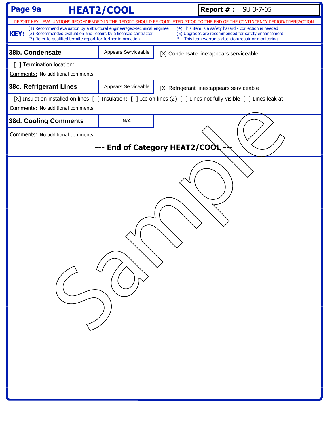| Page 9a<br><b>HEAT2/COOL</b>                                                                                                                                                                                      |                                | <b>Report #: SU 3-7-05</b> |                                                                                                                                                                     |
|-------------------------------------------------------------------------------------------------------------------------------------------------------------------------------------------------------------------|--------------------------------|----------------------------|---------------------------------------------------------------------------------------------------------------------------------------------------------------------|
|                                                                                                                                                                                                                   |                                |                            | REPORT KEY - EVALUATIONS RECOMMENDED IN THE REPORT SHOULD BE COMPLETED PRIOR TO THE END OF THE CONTINGENCY PERIOD/TRANSACTION                                       |
| (1) Recommend evaluation by a structural engineer/geo-technical engineer<br>KEY: (2) Recommended evaluation and repairs by a licensed contractor<br>(3) Refer to qualified termite report for further information |                                |                            | (4) This item is a safety hazard - correction is needed<br>(5) Upgrades are recommended for safety enhancement<br>This item warrants attention/repair or monitoring |
| 38b. Condensate                                                                                                                                                                                                   | Appears Serviceable            |                            | [X] Condensate line:appears serviceable                                                                                                                             |
| [ ] Termination location:<br>Comments: No additional comments.                                                                                                                                                    |                                |                            |                                                                                                                                                                     |
| 38c. Refrigerant Lines                                                                                                                                                                                            | Appears Serviceable            |                            | [X] Refrigerant lines: appears serviceable                                                                                                                          |
| Comments: No additional comments.                                                                                                                                                                                 |                                |                            | [X] Insulation installed on lines [ ] Insulation: [ ] Ice on lines (2) [ ] Lines not fully visible [ ] Lines leak at:                                               |
| <b>38d. Cooling Comments</b>                                                                                                                                                                                      | N/A                            |                            |                                                                                                                                                                     |
| Comments: No additional comments.                                                                                                                                                                                 |                                |                            |                                                                                                                                                                     |
|                                                                                                                                                                                                                   | --- End of Category HEAT2/COOL |                            |                                                                                                                                                                     |
|                                                                                                                                                                                                                   |                                |                            |                                                                                                                                                                     |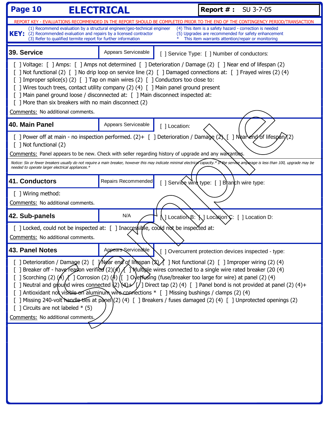| Page 10                                                                                                                                                                                                                                                                                                                                                                                                                                                                                                                                                                                                                                                                                                                                                                                                            | <b>ELECTRICAL</b>   | <b>Report #: SU 3-7-05</b>                                                                                                                                          |  |  |
|--------------------------------------------------------------------------------------------------------------------------------------------------------------------------------------------------------------------------------------------------------------------------------------------------------------------------------------------------------------------------------------------------------------------------------------------------------------------------------------------------------------------------------------------------------------------------------------------------------------------------------------------------------------------------------------------------------------------------------------------------------------------------------------------------------------------|---------------------|---------------------------------------------------------------------------------------------------------------------------------------------------------------------|--|--|
| REPORT KEY - EVALUATIONS RECOMMENDED IN THE REPORT SHOULD BE COMPLETED PRIOR TO THE END OF THE CONTINGENCY PERIOD/TRANSACTION                                                                                                                                                                                                                                                                                                                                                                                                                                                                                                                                                                                                                                                                                      |                     |                                                                                                                                                                     |  |  |
| (1) Recommend evaluation by a structural engineer/geo-technical engineer<br>KEY: (2) Recommended evaluation and repairs by a licensed contractor<br>(3) Refer to qualified termite report for further information                                                                                                                                                                                                                                                                                                                                                                                                                                                                                                                                                                                                  |                     | (4) This item is a safety hazard - correction is needed<br>(5) Upgrades are recommended for safety enhancement<br>This item warrants attention/repair or monitoring |  |  |
| 39. Service                                                                                                                                                                                                                                                                                                                                                                                                                                                                                                                                                                                                                                                                                                                                                                                                        | Appears Serviceable | [] Service Type: [] Number of conductors:                                                                                                                           |  |  |
| [ ] Voltage: [ ] Amps: [ ] Amps not determined [ ] Deterioration / Damage (2) [ ] Near end of lifespan (2)<br>[ ] Not functional (2) [ ] No drip loop on service line (2) [ ] Damaged connections at: [ ] Frayed wires (2) (4)<br>] Improper splice(s) (2) [ ] Tap on main wires (2) [ ] Conductors too close to:<br>[ ] Wires touch trees, contact utility company (2) (4) [ ] Main panel ground present<br>[ ] Main panel ground loose / disconnected at: [ ] Main disconnect inspected at:<br>[ ] More than six breakers with no main disconnect (2)<br>Comments: No additional comments.                                                                                                                                                                                                                       |                     |                                                                                                                                                                     |  |  |
| 40. Main Panel                                                                                                                                                                                                                                                                                                                                                                                                                                                                                                                                                                                                                                                                                                                                                                                                     | Appears Serviceable | [ ] Location:                                                                                                                                                       |  |  |
| [ ] Power off at main - no inspection performed. (2)+ [ ] Deterioration / Damage (2) [ ] Neanend of lifespan)(2)<br>[ ] Not functional (2)<br>Comments: Panel appears to be new. Check with seller regarding history of upgrade and any warkanties.<br>Notice: Six or fewer breakers usually do not require a main breaker, however this may indicate minimal electrical capacity.* Ir the service amperage is less than 100, upgrade may be<br>needed to operate larger electrical appliances.*                                                                                                                                                                                                                                                                                                                   |                     |                                                                                                                                                                     |  |  |
| <b>41. Conductors</b>                                                                                                                                                                                                                                                                                                                                                                                                                                                                                                                                                                                                                                                                                                                                                                                              | Repairs Recommended | [] Service wire type: [] Branch wire type:                                                                                                                          |  |  |
| [ ] Wiring method:<br>Comments: No additional comments.                                                                                                                                                                                                                                                                                                                                                                                                                                                                                                                                                                                                                                                                                                                                                            |                     |                                                                                                                                                                     |  |  |
| 42. Sub-panels                                                                                                                                                                                                                                                                                                                                                                                                                                                                                                                                                                                                                                                                                                                                                                                                     | N/A                 | N ] LocatioNB: `N ] Location`Ç: [ ] Location D:                                                                                                                     |  |  |
| [ ] Locked, could not be inspected at: [ ] Inaccessible, could not be inspected at:<br>Comments: No additional comments.                                                                                                                                                                                                                                                                                                                                                                                                                                                                                                                                                                                                                                                                                           |                     |                                                                                                                                                                     |  |  |
| 43. Panel Notes                                                                                                                                                                                                                                                                                                                                                                                                                                                                                                                                                                                                                                                                                                                                                                                                    |                     | Appears Serviceable \[ ] Overcurrent protection devices inspected - type:                                                                                           |  |  |
| [ ] Deterioration / Damage (2) [ $\frac{1}{2}$ /Near end of lirespan $(2)$ ] Not functional (2) [ ] Improper wiring (2) (4)<br>[ ] Breaker off - have reason verified $(2)(4)$ $\Lambda$ ] Multiple wires connected to a single wire rated breaker (20 (4)<br>[ ] Scorching (2) (A) $f$ ] Corrosion (2) (A) ([ ] Oyepfusing (fuse/breaker too large for wire) at panel (2) (4)<br>[ ] Neutral and ground wires connected $(2)(4)$ Direct tap (2) (4) [ ] Panel bond is not provided at panel (2) (4)+<br>[ ] Antioxidant not visible on aluminum wire connections * [ ] Missing bushings / clamps (2) (4)<br>[ ] Missing 240-volt handle ties at panel)(2) (4) [ ] Breakers / fuses damaged (2) (4) [ ] Unprotected openings (2)<br>$\lceil$ ] Circuits are not labeled * (5)<br>Comments: No additional comments. |                     |                                                                                                                                                                     |  |  |
|                                                                                                                                                                                                                                                                                                                                                                                                                                                                                                                                                                                                                                                                                                                                                                                                                    |                     |                                                                                                                                                                     |  |  |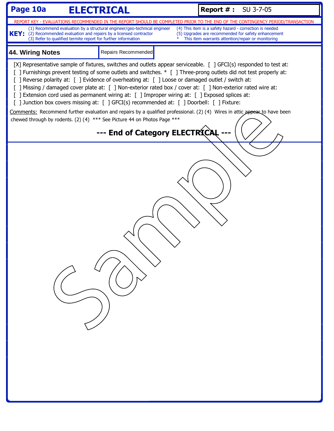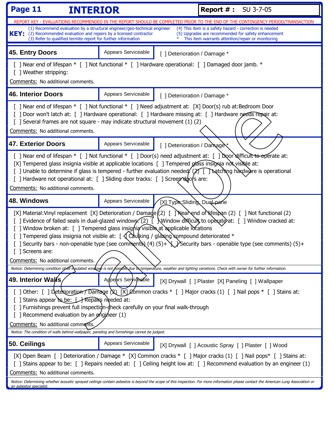| Page 11<br><b>INTERIOR</b>                                                                                                                                                                                                                                                                                                                                                                                                                                                                                                                                                                                                                 |                     | <b>Report #: SU 3-7-05</b>   |                                                                                                          |  |
|--------------------------------------------------------------------------------------------------------------------------------------------------------------------------------------------------------------------------------------------------------------------------------------------------------------------------------------------------------------------------------------------------------------------------------------------------------------------------------------------------------------------------------------------------------------------------------------------------------------------------------------------|---------------------|------------------------------|----------------------------------------------------------------------------------------------------------|--|
| <u>REPORT KEY - EVALUATIONS RECOMMENDED IN THE REPORT SHOULD BE COMPLETED PRIOR TO THE END OF THE CONTINGENCY PERIOD/TRANSACTION</u><br>(1) Recommend evaluation by a structural engineer/geo-technical engineer                                                                                                                                                                                                                                                                                                                                                                                                                           |                     |                              | (4) This item is a safety hazard - correction is needed                                                  |  |
| KEY: (2) Recommended evaluation and repairs by a licensed contractor<br>(3) Refer to qualified termite report for further information                                                                                                                                                                                                                                                                                                                                                                                                                                                                                                      |                     |                              | (5) Upgrades are recommended for safety enhancement<br>This item warrants attention/repair or monitoring |  |
| 45. Entry Doors                                                                                                                                                                                                                                                                                                                                                                                                                                                                                                                                                                                                                            | Appears Serviceable | [] Deterioration / Damage *  |                                                                                                          |  |
| [] Near end of lifespan * [] Not functional * [] Hardware operational: [] Damaged door jamb. *<br>[ ] Weather stripping:<br>Comments: No additional comments.                                                                                                                                                                                                                                                                                                                                                                                                                                                                              |                     |                              |                                                                                                          |  |
| <b>46. Interior Doors</b>                                                                                                                                                                                                                                                                                                                                                                                                                                                                                                                                                                                                                  | Appears Serviceable | [ ] Deterioration / Damage * |                                                                                                          |  |
| [ ] Near end of lifespan * [ ] Not functional * [ ] Need adjustment at: [X] Door(s) rub at:Bedroom Door<br>[] Door won't latch at: [] Hardware operational: [] Hardware missing at: [] Hardware needs repair at:<br>[ ] Several frames are not square - may indicate structural movement (1) (2)<br>Comments: No additional comments.                                                                                                                                                                                                                                                                                                      |                     |                              |                                                                                                          |  |
| <b>47. Exterior Doors</b>                                                                                                                                                                                                                                                                                                                                                                                                                                                                                                                                                                                                                  | Appears Serviceable | [ ] Deterioration / Damage   |                                                                                                          |  |
| [] Near end of lifespan * [] Not functional * [] Door(s) need adjustment at: [] Door difficult to operate at:<br>[X] Tempered glass insignia visible at applicable locations [ ] Tempered glass insignia not visible at:<br>[] Unable to determine if glass is tempered - further evaluation needed ( $\chi$ ) [ [ ] Natching hardware is operational<br>[] Hardware not operational at: [] Sliding door tracks: [] Screep^ddors are:<br>Comments: No additional comments.                                                                                                                                                                 |                     |                              |                                                                                                          |  |
| 48. Windows                                                                                                                                                                                                                                                                                                                                                                                                                                                                                                                                                                                                                                | Appears Serviceable | [X] Type Sliding, Dual-pane  |                                                                                                          |  |
| [X] Material: Vinyl replacement [X] Deterioration / Damage((2) [ ] Nearend of Nifespan (2) [ ] Not functional (2)<br>[ ] Evidence of failed seals in dual-glazed windows. (2) $\vec{l}$ Window difficult to operate at: [ ] Window cracked at:<br>[] Window broken at: [] Tempered glass insignia visible at applicable locations<br>[] Tempered glass insignia not visible at: $\int \int \mathrm{C}\lambda u$ king / glaxing compound deteriorated *<br>[ ] Security bars - non-openable type (see comments) $(4)(5)+$ $\chi$ Security bars - openable type (see comments) $(5)+$<br>] Screens are:<br>Comments: No additional comments. |                     |                              |                                                                                                          |  |
| Notice: Determining condition of all insulated windows is not possible due to temperature, weather and lighting variations. Check with owner for further information.                                                                                                                                                                                                                                                                                                                                                                                                                                                                      |                     |                              |                                                                                                          |  |
| 49. Interior Walls                                                                                                                                                                                                                                                                                                                                                                                                                                                                                                                                                                                                                         | Appears Serviceable |                              | [X] Drywall [ ] Plaster [X] Paneling [ ] Wallpaper                                                       |  |
| [] Other: [] Detexioration Damage (2) [X] Common cracks $*$ [] Major cracks (1) [] Nail pops $*$ [] Stains at:<br>[ ] Stains appear to be: $\Box$ Repairs needed at:<br>[] Furnishings prevent full inspectign-dheck carefully on your final walk-through<br>Recommend evaluation by an ghajneer (1)<br>Comments: No additional comments.                                                                                                                                                                                                                                                                                                  |                     |                              |                                                                                                          |  |
| Notice: The condition of walls behind wallpaper, paneling and furnishings cannot be judged.                                                                                                                                                                                                                                                                                                                                                                                                                                                                                                                                                |                     |                              |                                                                                                          |  |
| 50. Ceilings                                                                                                                                                                                                                                                                                                                                                                                                                                                                                                                                                                                                                               | Appears Serviceable |                              | [X] Drywall [ ] Acoustic Spray [ ] Plaster [ ] Wood                                                      |  |
| [X] Open Beam [ ] Deterioration / Damage * [X] Common cracks * [ ] Major cracks (1) [ ] Nail pops* [ ] Stains at:<br>[ ] Stains appear to be: [ ] Repairs needed at: [ ] Ceiling height low at: [ ] Recommend evaluation by an engineer (1)<br>Comments: No additional comments.                                                                                                                                                                                                                                                                                                                                                           |                     |                              |                                                                                                          |  |
| Notice: Determining whether acoustic sprayed ceilings contain asbestos is beyond the scope of this inspection. For more information please contact the American Lung Association or<br>an asbestos specialist.                                                                                                                                                                                                                                                                                                                                                                                                                             |                     |                              |                                                                                                          |  |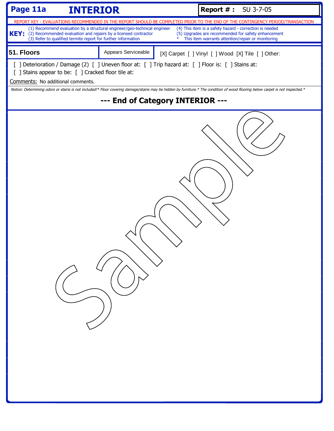| Page 11a<br><b>INTERIOR</b>                                                                                                                                                                      |                                                                          | <b>Report #: SU 3-7-05</b>                                                                                                                                                                                                                                                                                     |  |
|--------------------------------------------------------------------------------------------------------------------------------------------------------------------------------------------------|--------------------------------------------------------------------------|----------------------------------------------------------------------------------------------------------------------------------------------------------------------------------------------------------------------------------------------------------------------------------------------------------------|--|
| KEY: (2) Recommended evaluation and repairs by a licensed contractor<br>(3) Refer to qualified termite report for further information                                                            | (1) Recommend evaluation by a structural engineer/geo-technical engineer | REPORT KEY - EVALUATIONS RECOMMENDED IN THE REPORT SHOULD BE COMPLETED PRIOR TO THE END OF THE CONTINGENCY PERIOD/TRANSACTION<br>(4) This item is a safety hazard - correction is needed<br>(5) Upgrades are recommended for safety enhancement<br>$\ast$<br>This item warrants attention/repair or monitoring |  |
| 51. Floors                                                                                                                                                                                       | Appears Serviceable                                                      | [X] Carpet [ ] Vinyl [ ] Wood [X] Tile [ ] Other:                                                                                                                                                                                                                                                              |  |
| [ ] Deterioration / Damage (2) [ ] Uneven floor at: [ ] Trip hazard at: [ ] Floor is: [ ] Stains at:<br>[ ] Stains appear to be: [ ] Cracked floor tile at:<br>Comments: No additional comments. |                                                                          |                                                                                                                                                                                                                                                                                                                |  |
|                                                                                                                                                                                                  |                                                                          | Notice: Determining odors or stains is not included!* Floor covering damage/stains may be hidden by furniture.* The condition of wood flooring below carpet is not inspected.*                                                                                                                                 |  |
|                                                                                                                                                                                                  |                                                                          |                                                                                                                                                                                                                                                                                                                |  |
| --- End of Category INTERIOR ---                                                                                                                                                                 |                                                                          |                                                                                                                                                                                                                                                                                                                |  |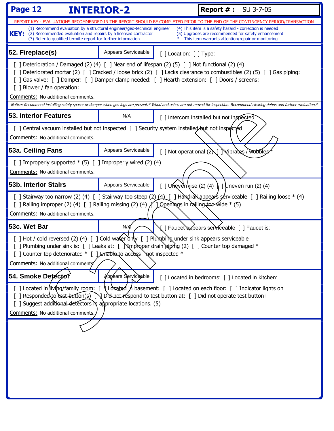| Page 12                                                                                                                                                                                                                                                                                                                        | <b>INTERIOR-2</b>   |                             | <b>Report #: SU 3-7-05</b>                                                                                                                                                                                                                                                                                |
|--------------------------------------------------------------------------------------------------------------------------------------------------------------------------------------------------------------------------------------------------------------------------------------------------------------------------------|---------------------|-----------------------------|-----------------------------------------------------------------------------------------------------------------------------------------------------------------------------------------------------------------------------------------------------------------------------------------------------------|
|                                                                                                                                                                                                                                                                                                                                |                     |                             | REPORT KEY - EVALUATIONS RECOMMENDED IN THE REPORT SHOULD BE COMPLETED PRIOR TO THE END OF THE CONTINGENCY PERIOD/TRANSACTION                                                                                                                                                                             |
| (1) Recommend evaluation by a structural engineer/geo-technical engineer<br><b>KEY:</b> (2) Recommended evaluation and repairs by a licensed contractor<br>(3) Refer to qualified termite report for further information                                                                                                       |                     |                             | (4) This item is a safety hazard - correction is needed<br>(5) Upgrades are recommended for safety enhancement<br>This item warrants attention/repair or monitoring                                                                                                                                       |
| 52. Fireplace(s)                                                                                                                                                                                                                                                                                                               | Appears Serviceable | [] Location: [] Type:       |                                                                                                                                                                                                                                                                                                           |
| [ ] Deterioration / Damaged (2) (4) [ ] Near end of lifespan (2) (5) [ ] Not functional (2) (4)<br>[ ] Gas valve: [ ] Damper: [ ] Damper clamp needed: [ ] Hearth extension: [ ] Doors / screens:<br>[ ] Blower / fan operation:<br>Comments: No additional comments.                                                          |                     |                             | [ ] Deteriorated mortar (2) [ ] Cracked / loose brick (2) [ ] Lacks clearance to combustibles (2) (5) [ ] Gas piping:<br>Notice: Recommend installing safety spacer or damper when gas logs are present.* Wood and ashes are not moved for inspection. Recommend clearing debris and further evaluation.* |
| <b>53. Interior Features</b>                                                                                                                                                                                                                                                                                                   | N/A                 |                             | [] Intercom installed but not inspected                                                                                                                                                                                                                                                                   |
| [ ] Central vacuum installed but not inspected [ ] Security system installed but not inspected<br>Comments: No additional comments.                                                                                                                                                                                            |                     |                             |                                                                                                                                                                                                                                                                                                           |
| 53a. Ceiling Fans                                                                                                                                                                                                                                                                                                              | Appears Serviceable | [ ] Not operational $(2)$ [ | Vibrates / wobbles                                                                                                                                                                                                                                                                                        |
| [ ] Improperly supported $*(5)$ [ ] Improperly wired (2) (4)<br>Comments: No additional comments.                                                                                                                                                                                                                              |                     |                             |                                                                                                                                                                                                                                                                                                           |
| <b>53b. Interior Stairs</b>                                                                                                                                                                                                                                                                                                    | Appears Serviceable |                             | [ ] Uneven rise (2) (4) $\int$ ] Uneven run (2) (4)                                                                                                                                                                                                                                                       |
| [ ] Railing improper (2) (4) [ ] Railing missing (2) (4) $\chi$ ] Openings in railing to wide * (5)<br>Comments: No additional comments.                                                                                                                                                                                       |                     |                             | [ ] Stairway too narrow (2) (4) [ ] Stairway too steep (2) (4) [ ] Handran appears serviceable [ ] Railing loose * (4)                                                                                                                                                                                    |
| 53c. Wet Bar                                                                                                                                                                                                                                                                                                                   | N/A                 |                             | √   Faucet appears serviceable [ ] Faucet is:                                                                                                                                                                                                                                                             |
| [ ] Hot / cold reversed (2) (4) [ ] Cold water only [ ] Plumpbing under sink appears serviceable<br>] Plumbing under sink is: [ ] Leaks at: [ ] Nmproper drain piping (2) [ ] Counter top damaged $*$<br>[] Counter top deteriorated * [] Limable to access - not inspected *<br>Comments: No additional comments.             |                     |                             |                                                                                                                                                                                                                                                                                                           |
| 54. Smoke Detector                                                                                                                                                                                                                                                                                                             | Appears Serviceable |                             | [] Located in bedrooms: [] Located in kitchen:                                                                                                                                                                                                                                                            |
| [] Located in/living/family room: [ \] Losated in basement: [ ] Located on each floor: [ ] Indicator lights on<br>[ ] Responded to rest button(s) N Did not respond to test button at: [ ] Did not operate test button+<br>[ ] Suggest additional detectors in appropriate locations. (5)<br>Comments: No additional comments. |                     |                             |                                                                                                                                                                                                                                                                                                           |
|                                                                                                                                                                                                                                                                                                                                |                     |                             |                                                                                                                                                                                                                                                                                                           |
|                                                                                                                                                                                                                                                                                                                                |                     |                             |                                                                                                                                                                                                                                                                                                           |
|                                                                                                                                                                                                                                                                                                                                |                     |                             |                                                                                                                                                                                                                                                                                                           |
|                                                                                                                                                                                                                                                                                                                                |                     |                             |                                                                                                                                                                                                                                                                                                           |
|                                                                                                                                                                                                                                                                                                                                |                     |                             |                                                                                                                                                                                                                                                                                                           |
|                                                                                                                                                                                                                                                                                                                                |                     |                             |                                                                                                                                                                                                                                                                                                           |
|                                                                                                                                                                                                                                                                                                                                |                     |                             |                                                                                                                                                                                                                                                                                                           |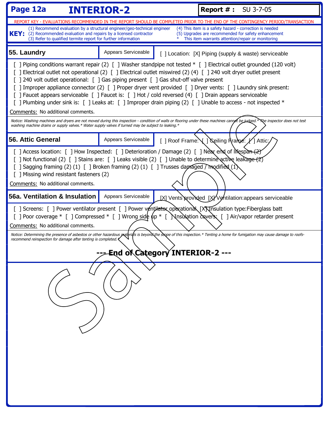| Page 12a<br><b>INTERIOR-2</b>                                                                                                                                                                                                                                                                                                                                                                                                                                                                                                                                                                                                                                                                                         |                     | <b>Report #: SU 3-7-05</b> |                                                                                                                                                                                   |  |
|-----------------------------------------------------------------------------------------------------------------------------------------------------------------------------------------------------------------------------------------------------------------------------------------------------------------------------------------------------------------------------------------------------------------------------------------------------------------------------------------------------------------------------------------------------------------------------------------------------------------------------------------------------------------------------------------------------------------------|---------------------|----------------------------|-----------------------------------------------------------------------------------------------------------------------------------------------------------------------------------|--|
|                                                                                                                                                                                                                                                                                                                                                                                                                                                                                                                                                                                                                                                                                                                       |                     |                            | REPORT KEY - EVALUATIONS RECOMMENDED IN THE REPORT SHOULD BE COMPLETED PRIOR TO THE END OF THE CONTINGENCY PERIOD/TRANSACTION                                                     |  |
| (4) This item is a safety hazard - correction is needed<br>(1) Recommend evaluation by a structural engineer/geo-technical engineer<br><b>KEY:</b><br>(2) Recommended evaluation and repairs by a licensed contractor<br>(5) Upgrades are recommended for safety enhancement<br>(3) Refer to qualified termite report for further information<br>This item warrants attention/repair or monitoring                                                                                                                                                                                                                                                                                                                    |                     |                            |                                                                                                                                                                                   |  |
| 55. Laundry                                                                                                                                                                                                                                                                                                                                                                                                                                                                                                                                                                                                                                                                                                           | Appears Serviceable |                            | [ ] Location: [X] Piping (supply & waste) serviceable                                                                                                                             |  |
| [ ] Piping conditions warrant repair (2) [ ] Washer standpipe not tested * [ ] Electrical outlet grounded (120 volt)<br>[ ] Electrical outlet not operational (2) [ ] Electrical outlet miswired (2) (4) [ ] 240 volt dryer outlet present<br>[] 240 volt outlet operational: [] Gas piping present [] Gas shut-off valve present<br>[ ] Improper appliance connector (2) [ ] Proper dryer vent provided [ ] Dryer vents: [ ] Laundry sink present:<br>[ ] Faucet appears serviceable [ ] Faucet is: [ ] Hot / cold reversed (4) [ ] Drain appears serviceable<br>[ ] Plumbing under sink is: [ ] Leaks at: [ ] Improper drain piping (2) [ ] Unable to access - not inspected *<br>Comments: No additional comments. |                     |                            |                                                                                                                                                                                   |  |
| washing machine drains or supply valves.* Water supply valves if turned may be subject to leaking.*                                                                                                                                                                                                                                                                                                                                                                                                                                                                                                                                                                                                                   |                     |                            |                                                                                                                                                                                   |  |
| 56. Attic General                                                                                                                                                                                                                                                                                                                                                                                                                                                                                                                                                                                                                                                                                                     | Appears Serviceable |                            | [ ] Roof Frame: \[ ] \Seiling Rrance: \left ] Attic:                                                                                                                              |  |
| [ ] Access location: [ ] How Inspected: [ ] Deterioration / Damage (2) [ ] Near end of lifespan (2)<br>[ ] Not functional (2) [ ] Stains are: [ ] Leaks visible (2) [ ] Unable to determine active leakage (2)<br>[ ] Sagging framing (2) (1) [ ] Broken framing (2) (1) [ ] Trusses dapraged $\sqrt{\frac{1}{2}}$ (1)<br>[ ] Missing wind resistant fasteners (2)<br>Comments: No additional comments.                                                                                                                                                                                                                                                                                                               |                     |                            |                                                                                                                                                                                   |  |
| 56a. Ventilation & Insulation                                                                                                                                                                                                                                                                                                                                                                                                                                                                                                                                                                                                                                                                                         | Appears Serviceable |                            | [X] Vents provided [X] Ventilation: appears serviceable                                                                                                                           |  |
| [] Screens: [] Power ventilator present [] Power ventilator operational [X] Insulation type: Fiberglass batt<br>Comments: No additional comments.                                                                                                                                                                                                                                                                                                                                                                                                                                                                                                                                                                     |                     |                            | [ ] Poor coverage * [ ] Compressed * [ ] Wrong side $\psi$ * [ Nnsulation covers: [ ] Air/vapor retarder present                                                                  |  |
| recommend reinspection for damage after tenting is completed.                                                                                                                                                                                                                                                                                                                                                                                                                                                                                                                                                                                                                                                         |                     |                            | Notice: Determining the presence of asbestos or other hazardous <i>paterials</i> is beyonothe scope of this inspection.* Tenting a home for fumigation may cause damage to roofs- |  |
| End of Category INTERIOR-2 ---                                                                                                                                                                                                                                                                                                                                                                                                                                                                                                                                                                                                                                                                                        |                     |                            |                                                                                                                                                                                   |  |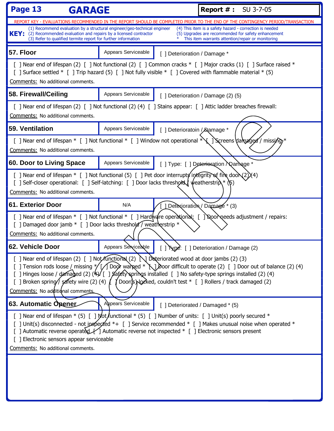| Page 13<br><b>GARAGE</b>                                                                                                                                                                                                                                                                                                                                                                                                                                                                                  |                     | <b>Report #: SU 3-7-05</b>   |                                                                                                                                                                     |
|-----------------------------------------------------------------------------------------------------------------------------------------------------------------------------------------------------------------------------------------------------------------------------------------------------------------------------------------------------------------------------------------------------------------------------------------------------------------------------------------------------------|---------------------|------------------------------|---------------------------------------------------------------------------------------------------------------------------------------------------------------------|
|                                                                                                                                                                                                                                                                                                                                                                                                                                                                                                           |                     |                              | REPORT KEY - EVALUATIONS RECOMMENDED IN THE REPORT SHOULD BE COMPLETED PRIOR TO THE END OF THE CONTINGENCY PERIOD/TRANSACTION                                       |
| (1) Recommend evaluation by a structural engineer/geo-technical engineer<br><b>KEY:</b><br>(2) Recommended evaluation and repairs by a licensed contractor<br>(3) Refer to qualified termite report for further information                                                                                                                                                                                                                                                                               |                     |                              | (4) This item is a safety hazard - correction is needed<br>(5) Upgrades are recommended for safety enhancement<br>This item warrants attention/repair or monitoring |
| 57. Floor                                                                                                                                                                                                                                                                                                                                                                                                                                                                                                 | Appears Serviceable | [ ] Deterioration / Damage * |                                                                                                                                                                     |
| [ ] Surface settled * [ ] Trip hazard (5) [ ] Not fully visible * [ ] Covered with flammable material * (5)<br>Comments: No additional comments.                                                                                                                                                                                                                                                                                                                                                          |                     |                              | [ ] Near end of lifespan (2) [ ] Not functional (2) [ ] Common cracks * [ ] Major cracks (1) [ ] Surface raised *                                                   |
| 58. Firewall/Ceiling                                                                                                                                                                                                                                                                                                                                                                                                                                                                                      | Appears Serviceable |                              | [ ] Deterioration / Damage (2) (5)                                                                                                                                  |
| [ ] Near end of lifespan (2) [ ] Not functional (2) (4) [ ] Stains appear: [ ] Attic ladder breaches firewall:<br>Comments: No additional comments.                                                                                                                                                                                                                                                                                                                                                       |                     |                              |                                                                                                                                                                     |
| 59. Ventilation                                                                                                                                                                                                                                                                                                                                                                                                                                                                                           | Appears Serviceable | [ ] Deterioratoin / Damage * |                                                                                                                                                                     |
| Comments: No additional comments.                                                                                                                                                                                                                                                                                                                                                                                                                                                                         |                     |                              | [ ] Near end of lifespan * [ ] Not functional * [ ] Window not operational $*\Upsilon$ ] Screens damaged / missing *                                                |
| 60. Door to Living Space                                                                                                                                                                                                                                                                                                                                                                                                                                                                                  | Appears Serviceable |                              | [] Type: [] Deterioration \Qamage *                                                                                                                                 |
| [ ] Near end of lifespan $*$ [ ] Not functional (5) [ ] Pet door interrupts integrity of fire doon (2) $\chi$ 4)<br>[ ] Self-closer operational: [ ] Self-latching: [ ] Door lacks threshold weatherstrip \* (\5)<br>Comments: No additional comments.                                                                                                                                                                                                                                                    |                     |                              |                                                                                                                                                                     |
| 61. Exterior Door                                                                                                                                                                                                                                                                                                                                                                                                                                                                                         | N/A                 |                              | [Detexioration / Damage * (3)                                                                                                                                       |
| [ ] Damaged door jamb * [ ] Door lacks threshold / weatherstrip *<br>Comments: No additional comments.                                                                                                                                                                                                                                                                                                                                                                                                    |                     |                              | [ ] Near end of lifespan * [ ] Not functional * [ ] Hardware operational: [ ] Noor needs adjustment / repairs:                                                      |
| 62. Vehicle Door                                                                                                                                                                                                                                                                                                                                                                                                                                                                                          | Appears Serviceable |                              | [] Type: [] Deterioration / Damage (2)                                                                                                                              |
| [ ] Near end of lifespan (2) [ ] Not functional (2) $\bigcup$ Deteriorated wood at door jambs (2) (3)<br>[ ] Tension rods loose / missing */[/ Door warked * \] boor difficult to operate (2) [ ] Door out of balance (2) (4)<br>[ ] Hinges loose / damaged (2) (4) [ ] Safety springs installed [ ] No safety-type springs installed (2) (4)<br>J Door(s) Nocked, couldn't test * [ ] Rollers / track damaged (2)<br>[ ] Broken spring// safety wire (2) (4) $\int$<br>Comments: No additional comments. |                     |                              |                                                                                                                                                                     |
| 63. Automatic Opener                                                                                                                                                                                                                                                                                                                                                                                                                                                                                      | Appears Serviceable |                              | [ ] Deteriorated / Damaged * (5)                                                                                                                                    |
| [ ] Near end of lifespan $*(5)$ [ ] Mot functional $*(5)$ [ ] Number of units: [ ] Unit(s) poorly secured $*$<br>[ ] Unit(s) disconnected - not ipspected $*$ + [ ] Service recommended $*$ [ ] Makes unusual noise when operated $*$<br>[ ] Automatic reverse operated [ ] Automatic reverse not inspected * [ ] Electronic sensors present<br>[ ] Electronic sensors appear serviceable<br>Comments: No additional comments.                                                                            |                     |                              |                                                                                                                                                                     |
|                                                                                                                                                                                                                                                                                                                                                                                                                                                                                                           |                     |                              |                                                                                                                                                                     |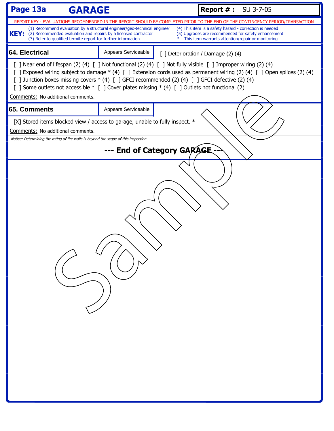| Page 13a<br><b>GARAGE</b>                                                                                                                                                                                                                                                                                                                                                                                                                                                            |                     | <b>Report #: SU 3-7-05</b>                                                                                                    |  |  |
|--------------------------------------------------------------------------------------------------------------------------------------------------------------------------------------------------------------------------------------------------------------------------------------------------------------------------------------------------------------------------------------------------------------------------------------------------------------------------------------|---------------------|-------------------------------------------------------------------------------------------------------------------------------|--|--|
|                                                                                                                                                                                                                                                                                                                                                                                                                                                                                      |                     | REPORT KEY - EVALUATIONS RECOMMENDED IN THE REPORT SHOULD BE COMPLETED PRIOR TO THE END OF THE CONTINGENCY PERIOD/TRANSACTION |  |  |
| (1) Recommend evaluation by a structural engineer/geo-technical engineer<br>(4) This item is a safety hazard - correction is needed<br>KEY: (2) Recommended evaluation and repairs by a licensed contractor<br>(5) Upgrades are recommended for safety enhancement<br>(3) Refer to qualified termite report for further information<br>This item warrants attention/repair or monitoring                                                                                             |                     |                                                                                                                               |  |  |
| 64. Electrical                                                                                                                                                                                                                                                                                                                                                                                                                                                                       | Appears Serviceable | [ ] Deterioration / Damage (2) (4)                                                                                            |  |  |
| [ ] Near end of lifespan (2) (4) [ ] Not functional (2) (4) [ ] Not fully visible [ ] Improper wiring (2) (4)<br>[ ] Exposed wiring subject to damage * (4) [ ] Extension cords used as permanent wiring (2) (4) [ ] Open splices (2) (4)<br>[ ] Junction boxes missing covers * (4) [ ] GFCI recommended (2) (4) [ ] GFCI defective (2) (4)<br>[ ] Some outlets not accessible * [ ] Cover plates missing * (4) [ ] Outlets not functional (2)<br>Comments: No additional comments. |                     |                                                                                                                               |  |  |
| 65. Comments                                                                                                                                                                                                                                                                                                                                                                                                                                                                         | Appears Serviceable |                                                                                                                               |  |  |
| [X] Stored items blocked view / access to garage, unable to fully inspect. *<br>Comments: No additional comments.                                                                                                                                                                                                                                                                                                                                                                    |                     |                                                                                                                               |  |  |
| Notice: Determining the rating of fire walls is beyond the scope of this inspection.                                                                                                                                                                                                                                                                                                                                                                                                 |                     |                                                                                                                               |  |  |
|                                                                                                                                                                                                                                                                                                                                                                                                                                                                                      |                     |                                                                                                                               |  |  |
| --- End of Category GARAGE.                                                                                                                                                                                                                                                                                                                                                                                                                                                          |                     |                                                                                                                               |  |  |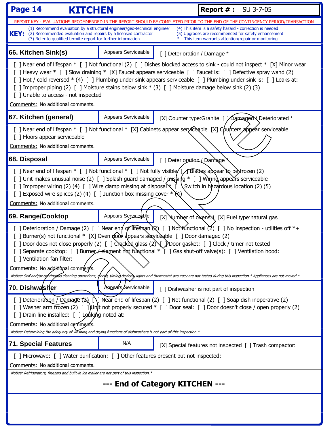| Page 14<br>KITCHEN<br><b>Report #: SU 3-7-05</b>                                                                                                                                                                                                                                                                                                                                                                                                                                                                             |                     |                                                                                                                                                                                                                                                                                                                                                                                                                                                                           |  |  |
|------------------------------------------------------------------------------------------------------------------------------------------------------------------------------------------------------------------------------------------------------------------------------------------------------------------------------------------------------------------------------------------------------------------------------------------------------------------------------------------------------------------------------|---------------------|---------------------------------------------------------------------------------------------------------------------------------------------------------------------------------------------------------------------------------------------------------------------------------------------------------------------------------------------------------------------------------------------------------------------------------------------------------------------------|--|--|
| REPORT KEY - EVALUATIONS RECOMMENDED IN THE REPORT SHOULD BE COMPLETED PRIOR TO THE END OF THE CONTINGENCY PERIOD/TRANSACTION<br>(1) Recommend evaluation by a structural engineer/geo-technical engineer<br>(4) This item is a safety hazard - correction is needed<br>KEY:<br>(2) Recommended evaluation and repairs by a licensed contractor<br>(5) Upgrades are recommended for safety enhancement<br>(3) Refer to qualified termite report for further information<br>This item warrants attention/repair or monitoring |                     |                                                                                                                                                                                                                                                                                                                                                                                                                                                                           |  |  |
| 66. Kitchen Sink(s)                                                                                                                                                                                                                                                                                                                                                                                                                                                                                                          | Appears Serviceable | [ ] Deterioration / Damage *                                                                                                                                                                                                                                                                                                                                                                                                                                              |  |  |
| [ ] Unable to access - not inspected<br>Comments: No additional comments.                                                                                                                                                                                                                                                                                                                                                                                                                                                    |                     | [ ] Near end of lifespan * [ ] Not functional (2) [ ] Dishes blocked access to sink - could not inspect * [X] Minor wear<br>[ ] Heavy wear * [ ] Slow draining * [X] Faucet appears serviceable [ ] Faucet is: [ ] Defective spray wand (2)<br>[ ] Hot / cold reversed * (4) [ ] Plumbing under sink appears serviceable [ ] Plumbing under sink is: [ ] Leaks at:<br>[ ] Improper piping (2) [ ] Moisture stains below sink * (3) [ ] Moisture damage below sink (2) (3) |  |  |
| 67. Kitchen (general)                                                                                                                                                                                                                                                                                                                                                                                                                                                                                                        | Appears Serviceable | [X] Counter type: Granite [ Y Damaged X Deteriorated *                                                                                                                                                                                                                                                                                                                                                                                                                    |  |  |
| [ ] Floors appear serviceable<br>Comments: No additional comments.                                                                                                                                                                                                                                                                                                                                                                                                                                                           |                     | [] Near end of lifespan $*$ [] Not functional $*$ [X] Cabinets appear serviceable [X] Counters appear serviceable                                                                                                                                                                                                                                                                                                                                                         |  |  |
| 68. Disposal                                                                                                                                                                                                                                                                                                                                                                                                                                                                                                                 | Appears Serviceable | [ ] Deterioration / Damage                                                                                                                                                                                                                                                                                                                                                                                                                                                |  |  |
| [] Near end of lifespan $*$ [] Not functional $*$ [] Not fully visible $\int$ Blades appear to be frozen (2)<br>[ ] Unit makes unusual noise (2) [ ] Splash guard damaged / $\mathsf{px}$ sking * [ ] Wiring appears serviceable<br>[ ] Improper wiring (2) (4) [ ] Wire clamp missing at disposare $\mathcal{E}$ ( $\mathcal{E}$ Switch in hazardous location (2) (5)<br>[ ] Exposed wire splices (2) (4) [ ] Junction box missing cover $*\mathcal{A}$ )<br>Comments: No additional comments.                              |                     |                                                                                                                                                                                                                                                                                                                                                                                                                                                                           |  |  |
| 69. Range/Cooktop                                                                                                                                                                                                                                                                                                                                                                                                                                                                                                            | Appears Servicesble | [X] Number of ovens \times [X] Fuel type: natural gas                                                                                                                                                                                                                                                                                                                                                                                                                     |  |  |
| [ ] Deterioration / Damage (2) [ ] Near end of lifespan (2) [ ] Not functional (2) [ ] No inspection - utilities off $*$ +<br>[ ] Burner(s) not functional * [X] Oven (oor appears sexviceable [ ] Door damaged (2)<br>[ ] Door does not close properly (2) [ ] $C$ Racked glass (2) $\setminus$ $D$ Door gasket: [ ] Clock / timer not tested<br>] Separate cooktop: [] Burner Helment not functional $*$ [] Gas shut-off valve(s): [] Ventilation hood:<br>[] Ventilation fan filter:<br>Comments: No additional comments. |                     |                                                                                                                                                                                                                                                                                                                                                                                                                                                                           |  |  |
|                                                                                                                                                                                                                                                                                                                                                                                                                                                                                                                              |                     | Notice: Self and/or continuous cleaning operations, diocus, timing devices lights and thermostat accuracy are not tested during this inspection.* Appliances are not moved.*                                                                                                                                                                                                                                                                                              |  |  |
| 70. Dishwasher                                                                                                                                                                                                                                                                                                                                                                                                                                                                                                               | Appears/Serviceable | [ ] Dishwasher is not part of inspection                                                                                                                                                                                                                                                                                                                                                                                                                                  |  |  |
| [ ] Deterioration / Damage (2) [\] Near end of lifespan (2) [ ] Not functional (2) [ ] Soap dish inoperative (2)<br>[ ] Washer arm frozen (2) [ ])Unit not properly secured * [ ] Door seal: [ ] Door doesn't close / open properly (2)<br>[ ] Drain line installed: [ ] Leaking noted at:<br>Comments: No additional comments.<br>Notice: Determining the adequacy of washing and drying functions of dishwashers is not part of this inspection.*                                                                          |                     |                                                                                                                                                                                                                                                                                                                                                                                                                                                                           |  |  |
| <b>71. Special Features</b>                                                                                                                                                                                                                                                                                                                                                                                                                                                                                                  | N/A                 | [X] Special features not inspected [ ] Trash compactor:                                                                                                                                                                                                                                                                                                                                                                                                                   |  |  |
| [ ] Microwave: [ ] Water purification: [ ] Other features present but not inspected:<br>Comments: No additional comments.<br>Notice: Refrigerators, freezers and built-in ice maker are not part of this inspection.*<br>--- End of Category KITCHEN ---                                                                                                                                                                                                                                                                     |                     |                                                                                                                                                                                                                                                                                                                                                                                                                                                                           |  |  |
|                                                                                                                                                                                                                                                                                                                                                                                                                                                                                                                              |                     |                                                                                                                                                                                                                                                                                                                                                                                                                                                                           |  |  |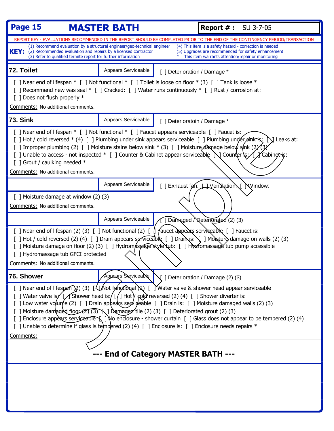| Page 15                                                                                                                                                                                                                                                                                                                                                                                                                                                                                                                                                              | <b>MASTER BATH</b>                  |                              | <b>Report #: SU 3-7-05</b>                                                                                                                                                                                                                                                                           |
|----------------------------------------------------------------------------------------------------------------------------------------------------------------------------------------------------------------------------------------------------------------------------------------------------------------------------------------------------------------------------------------------------------------------------------------------------------------------------------------------------------------------------------------------------------------------|-------------------------------------|------------------------------|------------------------------------------------------------------------------------------------------------------------------------------------------------------------------------------------------------------------------------------------------------------------------------------------------|
| (1) Recommend evaluation by a structural engineer/geo-technical engineer<br><b>KEY:</b> (2) Recommended evaluation and repairs by a licensed contractor<br>(3) Refer to qualified termite report for further information                                                                                                                                                                                                                                                                                                                                             |                                     |                              | REPORT KEY - EVALUATIONS RECOMMENDED IN THE REPORT SHOULD BE COMPLETED PRIOR TO THE END OF THE CONTINGENCY PERIOD/TRANSACTION<br>(4) This item is a safety hazard - correction is needed<br>(5) Upgrades are recommended for safety enhancement<br>This item warrants attention/repair or monitoring |
| 72. Toilet                                                                                                                                                                                                                                                                                                                                                                                                                                                                                                                                                           | Appears Serviceable                 | [ ] Deterioration / Damage * |                                                                                                                                                                                                                                                                                                      |
| [] Near end of lifespan * [] Not functional * [] Toilet is loose on floor * (3) [] Tank is loose *<br>[ ] Recommend new was seal * [ ] Cracked: [ ] Water runs continuously * [ ] Rust / corrosion at:<br>[ ] Does not flush properly *<br>Comments: No additional comments.                                                                                                                                                                                                                                                                                         |                                     |                              |                                                                                                                                                                                                                                                                                                      |
| <b>73. Sink</b>                                                                                                                                                                                                                                                                                                                                                                                                                                                                                                                                                      | Appears Serviceable                 | [ ] Deterioratoin / Damage * |                                                                                                                                                                                                                                                                                                      |
| [ ] Near end of lifespan * [ ] Not functional * [ ] Faucet appears serviceable [ ] Faucet is:<br>[ ] Hot / cold reversed * (4) [ ] Plumbing under sink appears serviceable [ ] Plumbing under $\sin k$ is: [ $\sin k$ ] Leaks at:<br>[ ] Improper plumbing (2) [ ] Moisture stains below sink * (3) [ ] Moisture damage below sink (2)<br>[ ] Unable to access - not inspected * [ ] Counter & Cabinet appear serviceable $\bigcup$ Counter $\mathcal{E}$ / Cabinetis:<br>[ ] Grout / caulking needed *<br>Comments: No additional comments.                         |                                     |                              |                                                                                                                                                                                                                                                                                                      |
|                                                                                                                                                                                                                                                                                                                                                                                                                                                                                                                                                                      | Appears Serviceable                 |                              | [ ] Exhaust fan: Hyenthation [ ] Window:                                                                                                                                                                                                                                                             |
| [ ] Moisture damage at window $(2)$ $(3)$<br>Comments: No additional comments.                                                                                                                                                                                                                                                                                                                                                                                                                                                                                       |                                     |                              |                                                                                                                                                                                                                                                                                                      |
|                                                                                                                                                                                                                                                                                                                                                                                                                                                                                                                                                                      | Appears Serviceable                 |                              | Damaged / Deteriorated (2) (3)                                                                                                                                                                                                                                                                       |
| [ ] Near end of lifespan (2) (3) [ ] Not functional (2) [ $\parallel$ $\parallel$ $\parallel$ aucet appears serviceable [ ] Faucet is:<br>[ ] Hot / cold reversed (2) (4) [ ] Drain appears serviceable $[$ ] Drain is: $\setminus$ ] Morsture damage on walls (2) (3)<br>[ ] Moisture damage on floor (2) (3) [ ] Hydromassage style tub: [ ] Hydromassage tub pump accessible<br>[ ] Hydromassage tub GFCI protected<br>Comments: No additional comments.                                                                                                          |                                     |                              |                                                                                                                                                                                                                                                                                                      |
| 76. Shower                                                                                                                                                                                                                                                                                                                                                                                                                                                                                                                                                           | Appears Serviceable                 |                              | $\sqrt{ }$   Deterioration / Damage (2) (3)                                                                                                                                                                                                                                                          |
| [ ] Near end of lifespan (2) (3) [ $\sqrt{2}$ Not functional (2) [ ] Water valve & shower head appear serviceable<br>[ ] Water valve is $\sqrt{5}$ Shower head is: $\sqrt{5}$ Hot $\sqrt{2}$ reversed (2) (4) [ ] Shower diverter is:<br>[ ] Low water volume (2) [ ] Drain appears servideable [ ] Drain is: [ ] Moisture damaged walls (2) (3)<br>[ ] Moisture damaged floor (2) (3) \] Damaged tile (2) (3) [ ] Deteriorated grout (2) (3)<br>[ ] Unable to determine if glass is tempered (2) (4) [ ] Enclosure is: [ ] Enclosure needs repairs $*$<br>Comments: | --- End of Category MASTER BATH --- |                              | [ ] Enclosure appears serviceable \ ] \\o enclosure - shower curtain [ ] Glass does not appear to be tempered (2) (4)                                                                                                                                                                                |
|                                                                                                                                                                                                                                                                                                                                                                                                                                                                                                                                                                      |                                     |                              |                                                                                                                                                                                                                                                                                                      |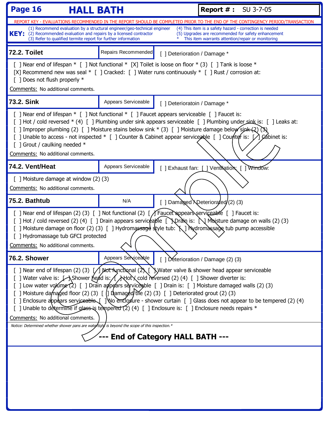| Page 16<br><b>HALL BATH</b>                                                                                                                                                                                                                                                                                                                                                                                                                                                                                                                                                                                                                                                                                                                                                                                                      |                     |                              | <b>Report #: SU 3-7-05</b>                                                                                                                                          |
|----------------------------------------------------------------------------------------------------------------------------------------------------------------------------------------------------------------------------------------------------------------------------------------------------------------------------------------------------------------------------------------------------------------------------------------------------------------------------------------------------------------------------------------------------------------------------------------------------------------------------------------------------------------------------------------------------------------------------------------------------------------------------------------------------------------------------------|---------------------|------------------------------|---------------------------------------------------------------------------------------------------------------------------------------------------------------------|
|                                                                                                                                                                                                                                                                                                                                                                                                                                                                                                                                                                                                                                                                                                                                                                                                                                  |                     |                              | REPORT KEY - EVALUATIONS RECOMMENDED IN THE REPORT SHOULD BE COMPLETED PRIOR TO THE END OF THE CONTINGENCY PERIOD/TRANSACTION                                       |
| (1) Recommend evaluation by a structural engineer/geo-technical engineer<br>KEY: (2) Recommended evaluation and repairs by a licensed contractor<br>(3) Refer to qualified termite report for further information                                                                                                                                                                                                                                                                                                                                                                                                                                                                                                                                                                                                                |                     |                              | (4) This item is a safety hazard - correction is needed<br>(5) Upgrades are recommended for safety enhancement<br>This item warrants attention/repair or monitoring |
| 72.2. Toilet                                                                                                                                                                                                                                                                                                                                                                                                                                                                                                                                                                                                                                                                                                                                                                                                                     | Repairs Recommended | [ ] Deterioration / Damage * |                                                                                                                                                                     |
| [ ] Near end of lifespan * [ ] Not functional * [X] Toilet is loose on floor * (3) [ ] Tank is loose *<br>[X] Recommend new was seal $*$ [] Cracked: [] Water runs continuously $*$ [] Rust / corrosion at:<br>[ ] Does not flush properly *<br>Comments: No additional comments.                                                                                                                                                                                                                                                                                                                                                                                                                                                                                                                                                |                     |                              |                                                                                                                                                                     |
| 73.2. Sink                                                                                                                                                                                                                                                                                                                                                                                                                                                                                                                                                                                                                                                                                                                                                                                                                       | Appears Serviceable | [ ] Deterioratoin / Damage * |                                                                                                                                                                     |
| [ ] Near end of lifespan * [ ] Not functional * [ ] Faucet appears serviceable [ ] Faucet is:<br>[ ] Hot / cold reversed * (4) [ ] Plumbing under sink appears serviceable [ ] Plumbing under sink is: [ ] Leaks at:<br>[ ] Improper plumbing (2) [ ] Moisture stains below sink * (3) [ ] Moisture damage below sink (2) (3)<br>[ ] Unable to access - not inspected * [ ] Counter & Cabinet appear serviceable [ ] Counter is: [ ] Cabinet is:<br>[ ] Grout / caulking needed *<br>Comments: No additional comments.                                                                                                                                                                                                                                                                                                           |                     |                              |                                                                                                                                                                     |
| 74.2. Vent/Heat                                                                                                                                                                                                                                                                                                                                                                                                                                                                                                                                                                                                                                                                                                                                                                                                                  | Appears Serviceable |                              | [ ] Exhaust fan: [ ] Ventilation: [ ] Window:                                                                                                                       |
| [ ] Moisture damage at window (2) (3)<br>Comments: No additional comments.                                                                                                                                                                                                                                                                                                                                                                                                                                                                                                                                                                                                                                                                                                                                                       |                     |                              |                                                                                                                                                                     |
| 75.2. Bathtub                                                                                                                                                                                                                                                                                                                                                                                                                                                                                                                                                                                                                                                                                                                                                                                                                    | N/A                 |                              | [] Damaged \Deteriorated (2) (3)                                                                                                                                    |
| [ ] Near end of lifespan (2) (3) [ ] Not functional (2) [ / Faucet appears serviceable [ ] Faucet is:<br>[ ] Moisture damage on floor (2) (3) [ ] Hydromassage style tub: \ ] Hydromassage tub pump accessible<br>[ ] Hydromassage tub GFCI protected<br>Comments: No additional comments.                                                                                                                                                                                                                                                                                                                                                                                                                                                                                                                                       |                     |                              | [ ] Hot / cold reversed (2) (4) [ ] Drain appears serviceable [ $\Delta$ prain is: $\Delta$ Moisture damage on walls (2) (3)                                        |
| 76.2. Shower                                                                                                                                                                                                                                                                                                                                                                                                                                                                                                                                                                                                                                                                                                                                                                                                                     | Appears Serviceable |                              | [ ] Deterioration / Damage $(2)$ $(3)$                                                                                                                              |
| [ ] Near end of lifespan (2) (3) $\int$ Wot functional (2) [ ] Water valve & shower head appear serviceable<br>[ ] Water valve is: LAShower head is: A Atlot X cold reversed (2) (4) [ ] Shower diverter is:<br>[ ] Low water volume (2) [ ] Drain appears services ble [ ] Drain is: [ ] Moisture damaged walls (2) (3)<br>[ ] Moisture damaged floor (2) (3) [ (] Damaged tile (2) (3) [ ] Deteriorated grout (2) (3)<br>[ ] Enclosure appears serviceable [ ] No enclosure - shower curtain [ ] Glass does not appear to be tempered (2) (4)<br>[] Unable to determine if glass is tempered (2) (4) [] Enclosure is: [] Enclosure needs repairs *<br>Comments: No additional comments.<br>Notice: Determined whether shower pans are watertight is beyond the scope of this inspection.*<br>--- End of Category HALL BATH --- |                     |                              |                                                                                                                                                                     |
|                                                                                                                                                                                                                                                                                                                                                                                                                                                                                                                                                                                                                                                                                                                                                                                                                                  |                     |                              |                                                                                                                                                                     |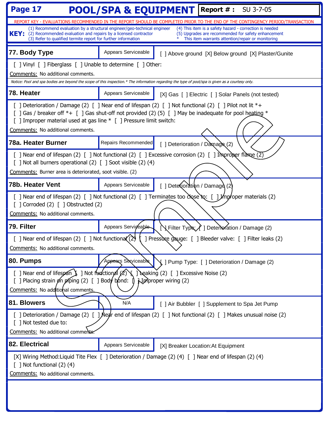| Page 17                                                                                                                                                                                                                                                                                                                                    |                     |                                                             | <b>POOL/SPA &amp; EQUIPMENT</b> Report #: SU 3-7-05                                                                                                                 |
|--------------------------------------------------------------------------------------------------------------------------------------------------------------------------------------------------------------------------------------------------------------------------------------------------------------------------------------------|---------------------|-------------------------------------------------------------|---------------------------------------------------------------------------------------------------------------------------------------------------------------------|
|                                                                                                                                                                                                                                                                                                                                            |                     |                                                             | REPORT KEY - EVALUATIONS RECOMMENDED IN THE REPORT SHOULD BE COMPLETED PRIOR TO THE END OF THE CONTINGENCY PERIOD/TRANSACTION                                       |
| (1) Recommend evaluation by a structural engineer/geo-technical engineer<br><b>KEY:</b><br>(2) Recommended evaluation and repairs by a licensed contractor<br>(3) Refer to qualified termite report for further information                                                                                                                |                     |                                                             | (4) This item is a safety hazard - correction is needed<br>(5) Upgrades are recommended for safety enhancement<br>This item warrants attention/repair or monitoring |
| 77. Body Type                                                                                                                                                                                                                                                                                                                              | Appears Serviceable |                                                             | [ ] Above ground [X] Below ground [X] Plaster/Gunite                                                                                                                |
| [ ] Vinyl [ ] Fiberglass [ ] Unable to determine [ ] Other:                                                                                                                                                                                                                                                                                |                     |                                                             |                                                                                                                                                                     |
| Comments: No additional comments.<br>Notice: Pool and spa bodies are beyond the scope of this inspection.* The information regarding the type of pool/spa is given as a courtesy only.                                                                                                                                                     |                     |                                                             |                                                                                                                                                                     |
| 78. Heater                                                                                                                                                                                                                                                                                                                                 | Appears Serviceable |                                                             | [X] Gas [ ] Electric [ ] Solar Panels (not tested)                                                                                                                  |
| [ ] Deterioration / Damage (2) [ ] Near end of lifespan (2) [ ] Not functional (2) [ ] Pilot not lit *+<br>[ ] Gas / breaker off *+ $\lceil$ ] Gas shut-off not provided (2) (5) $\lceil$ ] May be inadequate for pool heating *<br>[] Improper material used at gas line * [] Pressure limit switch:<br>Comments: No additional comments. |                     |                                                             |                                                                                                                                                                     |
| 78a. Heater Burner                                                                                                                                                                                                                                                                                                                         | Repairs Recommended | [ ] Deterioration / $D\frac{\partial \phi}{\partial x}$ (2) |                                                                                                                                                                     |
| [ ] Near end of lifespan (2) [ ] Not functional (2) [ ] Excessive corrosion (2) [ ] Improper flame $\overline{(2)}$<br>[ ] Not all burners operational (2) [ ] Soot visible (2) (4)<br>Comments: Burner area is deteriorated, soot visible. (2)                                                                                            |                     |                                                             |                                                                                                                                                                     |
| 78b. Heater Vent                                                                                                                                                                                                                                                                                                                           | Appears Serviceable | [ ] Detextord tion / Damago (2)                             |                                                                                                                                                                     |
| [ ] Near end of lifespan (2) [ ] Not functional (2) [ ] Terminates too $\text{chose}$ to: [ ] Improper materials (2)<br>$[$ ] Corroded (2) $[$ ] Obstructed (2)<br>Comments: No additional comments.                                                                                                                                       |                     |                                                             |                                                                                                                                                                     |
| 79. Filter                                                                                                                                                                                                                                                                                                                                 | Appears Serviceable |                                                             | VFilter Type / ] Deterto fation / Damage (2)                                                                                                                        |
| [ ] Near end of lifespan (2) [ ] Not functiona $(2)$<br>[ ] Pressuxe gauge: [ ] Bleeder valve: [ ] Filter leaks (2)<br>Comments: No additional comments.                                                                                                                                                                                   |                     |                                                             |                                                                                                                                                                     |
| 80. Pumps                                                                                                                                                                                                                                                                                                                                  | Appears Serviceable |                                                             | <b>{</b> ] Pump Type: [ ] Deterioration / Damage (2)                                                                                                                |
| [ ] Near end of lifespan $\sum$ ] Not functional $(2)$ $\sum$ ] Leaking (2) [ ] Excessive Noise (2)<br>[ ] Placing strain $\cancel{\phi}$ n piping (2) [ ] Body bond: []<br><b>N</b> IM proper wiring (2)<br>Comments: No additional comments.                                                                                             |                     |                                                             |                                                                                                                                                                     |
| 81. Blowers                                                                                                                                                                                                                                                                                                                                | N/A                 |                                                             | [ ] Air Bubbler [ ] Supplement to Spa Jet Pump                                                                                                                      |
| [] Deterioration / Damage (2) [] Near end of lifespan (2) [] Not functional (2) [] Makes unusual noise (2)<br>[ ] Not tested due to:<br>Comments: No additional comments                                                                                                                                                                   |                     |                                                             |                                                                                                                                                                     |
| 82. Electrical                                                                                                                                                                                                                                                                                                                             | Appears Serviceable |                                                             | [X] Breaker Location: At Equipment                                                                                                                                  |
| [X] Wiring Method: Liquid Tite Flex [ ] Deterioration / Damage (2) (4) [ ] Near end of lifespan (2) (4)<br>$[$ ] Not functional $(2)$ $(4)$<br>Comments: No additional comments.                                                                                                                                                           |                     |                                                             |                                                                                                                                                                     |
|                                                                                                                                                                                                                                                                                                                                            |                     |                                                             |                                                                                                                                                                     |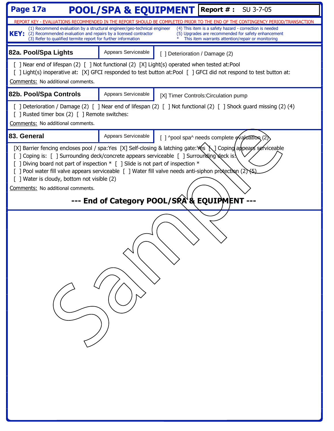| Page 17a                                                                                                                                                                                                                                                                                                                                                                                                                                                                                                                               | <b>POOL/SPA &amp; EQUIPMENT</b> Report #: |                                      | SU 3-7-05                                                                                                                                                           |  |
|----------------------------------------------------------------------------------------------------------------------------------------------------------------------------------------------------------------------------------------------------------------------------------------------------------------------------------------------------------------------------------------------------------------------------------------------------------------------------------------------------------------------------------------|-------------------------------------------|--------------------------------------|---------------------------------------------------------------------------------------------------------------------------------------------------------------------|--|
|                                                                                                                                                                                                                                                                                                                                                                                                                                                                                                                                        |                                           |                                      | REPORT KEY - EVALUATIONS RECOMMENDED IN THE REPORT SHOULD BE COMPLETED PRIOR TO THE END OF THE CONTINGENCY PERIOD/TRANSACTION                                       |  |
| (1) Recommend evaluation by a structural engineer/geo-technical engineer<br>KEY:<br>(2) Recommended evaluation and repairs by a licensed contractor<br>(3) Refer to qualified termite report for further information                                                                                                                                                                                                                                                                                                                   |                                           |                                      | (4) This item is a safety hazard - correction is needed<br>(5) Upgrades are recommended for safety enhancement<br>This item warrants attention/repair or monitoring |  |
| 82a. Pool/Spa Lights                                                                                                                                                                                                                                                                                                                                                                                                                                                                                                                   | Appears Serviceable                       | [ ] Deterioration / Damage (2)       |                                                                                                                                                                     |  |
| [ ] Near end of lifespan (2) [ ] Not functional (2) [X] Light(s) operated when tested at:Pool<br>Comments: No additional comments.                                                                                                                                                                                                                                                                                                                                                                                                     |                                           |                                      | [ ] Light(s) inoperative at: [X] GFCI responded to test button at:Pool [ ] GFCI did not respond to test button at:                                                  |  |
| 82b. Pool/Spa Controls                                                                                                                                                                                                                                                                                                                                                                                                                                                                                                                 | Appears Serviceable                       | [X] Timer Controls: Circulation pump |                                                                                                                                                                     |  |
| [ ] Rusted timer box (2) [ ] Remote switches:<br>Comments: No additional comments.                                                                                                                                                                                                                                                                                                                                                                                                                                                     |                                           |                                      | [ ] Deterioration / Damage (2) [ ] Near end of lifespan (2) [ ] Not functional (2) [ ] Shock guard missing (2) (4)                                                  |  |
| 83. General                                                                                                                                                                                                                                                                                                                                                                                                                                                                                                                            | Appears Serviceable                       |                                      | [ ] ^pool spa^ needs complete evaluation (2)                                                                                                                        |  |
| [X] Barrier fencing encloses pool / spa:Yes [X] Self-closing & latching gate:Yes [X] Coping appears serviceable<br>] Coping is: [ ] Surrounding deck/concrete appears serviceable [ ] Surrounding deck is.<br>] Diving board not part of inspection * [ ] Slide is not part of inspection *<br>[ ] Pool water fill valve appears serviceable [ ] Water fill valve needs anti-siphon protection (2) (5)<br>[ ] Water is cloudy, bottom not visible (2)<br>Comments: No additional comments.<br>--- End of Category POOL/SRA & EQUIPMENT |                                           |                                      |                                                                                                                                                                     |  |
|                                                                                                                                                                                                                                                                                                                                                                                                                                                                                                                                        |                                           |                                      |                                                                                                                                                                     |  |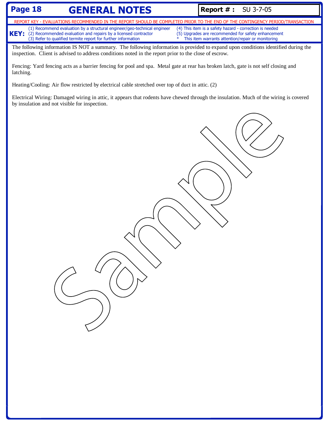# **Page 18 GENERAL NOTES Report # :** SU 3-7-05

**KEY:** (1) Recommend evaluation by a structural engineer/geo-technical engineer (2) Recommended evaluation and repairs by a licensed contractor (3) Refer to qualified termite report for further information (4) This item is a safety hazard - correction is needed (5) Upgrades are recommended for safety enhancement This item warrants attention/repair or monitoring REPORT KEY - EVALUATIONS RECOMMENDED IN THE REPORT SHOULD BE COMPLETED PRIOR TO THE END OF THE CONTINGENCY PERIOD/TRANSACTION

The following information IS NOT a summary. The following information is provided to expand upon conditions identified during the inspection. Client is advised to address conditions noted in the report prior to the close of escrow.

Fencing: Yard fencing acts as a barrier fencing for pool and spa. Metal gate at rear has broken latch, gate is not self closing and latching.

Heating/Cooling: Air flow restricted by electrical cable stretched over top of duct in attic. (2)

Electrical Wiring: Damaged wiring in attic, it appears that rodents have chewed through the insulation. Much of the wiring is covered

by insulation and not visible for inspection.<br> $\bigcirc$   $\bigcirc$   $\bigcirc$   $\bigcirc$   $\bigcirc$   $\bigcirc$   $\bigcirc$   $\bigcirc$   $\bigcirc$   $\bigcirc$   $\bigcirc$   $\bigcirc$   $\bigcirc$   $\bigcirc$   $\bigcirc$   $\bigcirc$   $\bigcirc$   $\bigcirc$   $\bigcirc$   $\bigcirc$   $\bigcirc$   $\bigcirc$   $\bigcirc$   $\bigcirc$   $\bigcirc$   $\bigcirc$   $\bigcirc$   $\bigcirc$   $\bigcirc$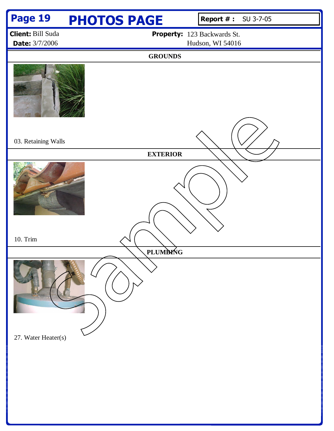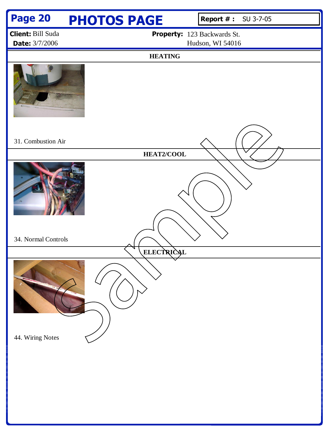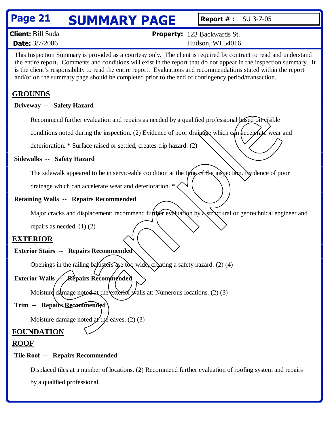# **Page 21 SUMMARY PAGE Report #: SU 3-7-05**

| <b>Client:</b> Bill Suda | <b>Property:</b> 123 Backwards St. |
|--------------------------|------------------------------------|
| <b>Date:</b> 3/7/2006    | Hudson, WI 54016                   |

This Inspection Summary is provided as a courtesy only. The client is required by contract to read and understand the entire report. Comments and conditions will exist in the report that do not appear in the inspection summary. It is the client's responsibility to read the entire report. Evaluations and recommendations stated within the report and/or on the summary page should be completed prior to the end of contingency period/transaction.

# **GROUNDS**

### **Driveway -- Safety Hazard**

Recommend further evaluation and repairs as needed by a qualified professional based on visible

conditions noted during the inspection. (2) Evidence of poor drainage which can accelerate wear and

deterioration. \* Surface raised or settled, creates trip hazard. (2)

# **Sidewalks -- Safety Hazard**

The sidewalk appeared to be in serviceable condition at the time of the inspection. Evidence of poor

drainage which can accelerate wear and deterioration. \*

# **Retaining Walls -- Repairs Recommended**

Major cracks and displacement; recommend further evaluation by a structural or geotechnical engineer and mmend further evaluation and repairs as needed by a qualified professional based on visible<br>tions noted during the inspection. (2) Evidence of poor drainage which can be celebrate<br>contribution  $*$  Surface raised or settled

repairs as needed. (1) (2)

# **EXTERIOR**

# **Exterior Stairs -- Repairs Recommended**

Openings in the railing balusters are too wide, creating a safety hazard. (2) (4)

# **Exterior Walls / Repairs Recommended**

Moisture damage noted at the exterior walls at: Numerous locations. (2) (3)

# **Trim -- Repairs Recommended**

Moisture damage noted  $x$ <sup>th</sup> $\epsilon$  eaves. (2) (3)

# **FOUNDATION**

# **ROOF**

### **Tile Roof -- Repairs Recommended**

Displaced tiles at a number of locations. (2) Recommend further evaluation of roofing system and repairs by a qualified professional.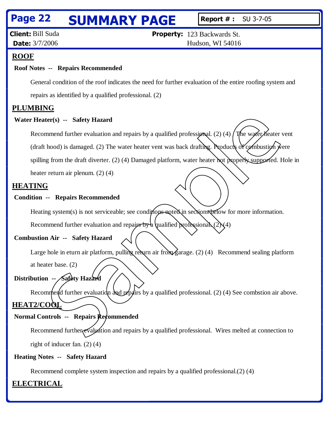# **Page 22 SUMMARY PAGE Report #: SU 3-7-05**

**Client:** Bill Suda **Date:** 3/7/2006

**Property:** 123 Backwards St. Hudson, WI 54016

### **ROOF**

#### **Roof Notes -- Repairs Recommended**

General condition of the roof indicates the need for further evaluation of the entire roofing system and repairs as identified by a qualified professional. (2)

#### **PLUMBING**

#### **Water Heater(s) -- Safety Hazard**

Recommend further evaluation and repairs by a qualified professional. (2) (4)  $\int$ The water heater vent (draft hood) is damaged. (2) The water heater vent was back drafting. Products of combustion were spilling from the draft diverter. (2) (4) Damaged platform, water heater not properly supported. Hole in Sample Control and repairs and repairs by a qualified professional. (2) (4) The water heater of the and the real and the real and the matter of the matter of the matter of the matter of the matter of the matter of the matt

heater return air plenum. (2) (4)

#### **HEATING**

#### **Condition -- Repairs Recommended**

Heating system(s) is not serviceable; see conditions noted in sections below for more information.

Recommend further evaluation and repairs by a qualified professional. (2)

#### **Combustion Air -- Safety Hazard**

Large hole in eturn air platform, pulling return air from garage. (2) (4) Recommend sealing platform

at heater base. (2)

### **Distribution -- Safety Hazard**

Recommend further evaluation and repairs by a qualified professional. (2) (4) See combstion air above. **HEAT2/COOL**

#### **Normal Controls -- Repairs Recommended**

Recommend further evaluation and repairs by a qualified professional. Wires melted at connection to right of inducer fan. (2) (4)

#### **Heating Notes -- Safety Hazard**

Recommend complete system inspection and repairs by a qualified professional.(2) (4)

#### **ELECTRICAL**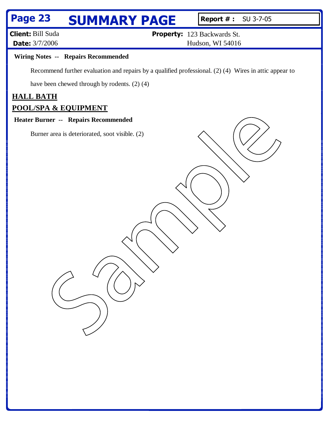# **Page 23 SUMMARY PAGE Report #: SU 3-7-05**

**Client:** Bill Suda **Date:** 3/7/2006

**Property:** 123 Backwards St.

Hudson, WI 54016

#### **Wiring Notes -- Repairs Recommended**

Recommend further evaluation and repairs by a qualified professional. (2) (4) Wires in attic appear to

have been chewed through by rodents. (2) (4)

### **HALL BATH**

#### **POOL/SPA & EQUIPMENT**

#### **Heater Burner -- Repairs Recommended**

F. Burner area is deteriorated, soot visible. (2)<br>Burner area is deteriorated, soot visible. (2)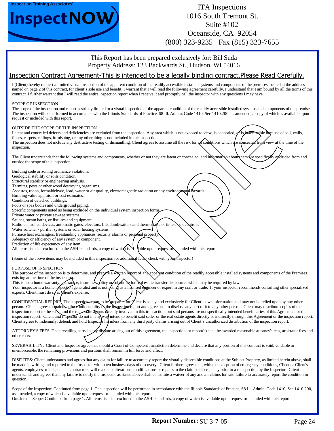



### ITA Inspections 1016 South Tremont St. Suite #102 Oceanside, CA 92054 (800) 323-9235 Fax (815) 323-7655

This Report has been prepared exclusively for: Bill Suda Property Address: 123 Backwards St., Hudson, WI 54016

#### Inspection Contract Agreement-This is intended to be a legally binding contract.Please Read Carefully.

I (Client) hereby request a limited visual inspection of the apparent condition of the readily accessible installed systems and components of the premises located at the address named on page 2 of this contract, for client's sole use and benefit. I warrant that I will read the following agreement carefully. I understand that I am bound by all the terms of this contract. I further warrant that I will read the entire inspection report when I receive it and promptly call the inspector with any questions I may have.

#### SCOPE OF INSPECTION

The scope of the inspection and report is strictly limited to a visual inspection of the apparent condition of the readily accessible installed systems and components of the premises. The inspection will be performed in accordance with the Illinois Standards of Practice, 68 Ill. Admin. Code 1410, Sec 1410.200, as amended, a copy of which is available upon request or included with this report.

#### OUTSIDE THE SCOPE OF THE INSPECTION

Latent and concealed defects and deficiencies are excluded from the inspection. Any area which is not exposed to view, is concealed,  $\sigma$  is inaccessible because of soil, walls, floors, carpets, ceilings, furnishing, or any other thing is not included in this inspection. The inspection does not include any destructive testing or dismantling. Client agrees to assume all the risk for all conditions which are concealed from view at the time of the inspection.

The Client understands that the following systems and components, whether or not they are latent or concealed, and information about them are specifically excluded from and outside the scope of this inspection:

Building code or zoning ordinance violations.

Geological stability or soils condition. Structural stability or engineering analysis.

Termites, pests or other wood destroying organisms.

Asbestos, radon, formaldehyde, lead, water or air quality, electromagnetic radiation or any environmental hazards.

Building value appraisal or cost estimates.

Condition of detached buildings.

Pools or spas bodies and underground piping.

Specific components noted as being excluded on the individual system inspection forms.

Private water or private sewage systems.

Saunas, steam baths, or fixtures and equipment.

Radio-controlled devices, automatic gates, elevators, lifts,dumbwaiters and thermortance or time clock controls.

Water softener / purifier systems or solar heating systems.

Furnace heat exchangers, freestanding appliances, security alarms or personal property

Adequacy or efficiency of any system or component. Prediction of life expectancy of any item.

All items listed as excluded in the ASHI standards, a copy of which is available upon request or included with this report.

(Some of the above items may be included in this inspection for additional fees, check with your inspector)

#### PURPOSE OF INSPECTION

The purpose of the inspection is to determine, and  $\epsilon$  prepare a written report of, the apparent condition of the readily accessible installed systems and components of the Premises existing at the time of the inspection

This is not a home warranty, guarance, insurance policy or substitute for real estate transfer disclosures which may be required by law.

Your inspector is a home inspection generalist and is not acting as a licensed engineer or expert in any craft or trade. If your inspector recommends consulting other specialized experts, Client must do  $s$  at  $\overline{Q}$  tient's expense.

CONFIDENTIAL REPORT: The inspection report to be prepared for *C*lient is solely and exclusively for Client's own information and may not be relied upon by any other person. Client agrees to maintain the confidentiality of the inspection report and agrees not to disclose any part of it to any other person. Client may distribute copies of the inspection report to the seller and the real estate agents directly involved in this transaction, but said persons are not specifically intended beneficiaries of this Agreement or the inspection report. Client and Inspector do not in any way intend to benefit said seller or the real estate agents directly or indirectly through this Agreement or the inspection report. Client agrees to indemnify, defend, and hold Inspector harmless from any third party claims arising out of Client's unauthorized distribution of the inspection report. with this report.<br>The specific method in the specific method is the specific method in this is a specific to the second of the<br>second intervention of the specific methods in this is a specific method in this is a specific

ATTORNEY'S FEES: The prevailing party in any dispute arising out of this agreement, the inspection, or report(s) shall be awarded reasonable attorney's fees, arbitrator fees and other costs.

SEVERABILITY: Client and Inspector agree that should a Court of Competent Jurisdiction determine and declare that any portion of this contract is void, voidable or unenforceable, the remaining provisions and portions shall remain in full force and effect.

DISPUTES: Client understands and agrees that any claim for failure to accurately report the visually discernible conditions at the Subject Property, as limited herein above, shall be made in writing and reported to the Inspector within ten business days of discovery. Client further agrees that, with the exception of emergency conditions, Client or Client's agents, employees or independent contractors, will make no alterations, modifications or repairs to the claimed discrepancy prior to a reinspection by the Inspector. Client understands and agrees that any failure to notify the Inspector as stated above shall constitute a waiver of any and all claims for said failure to accurately report the condition in question.

Scope of the Inspection: Continued from page 1. The inspection will be performed in accordance with the Illinois Standards of Practice, 68 Ill. Admin. Code 1410, Sec 1410.200, as amended, a copy of which is available upon request or included with this report. Outside the Scope: Continued from page 1. All items listed as excluded in the ASHI standards, a copy of which is available upon request or included with this report.